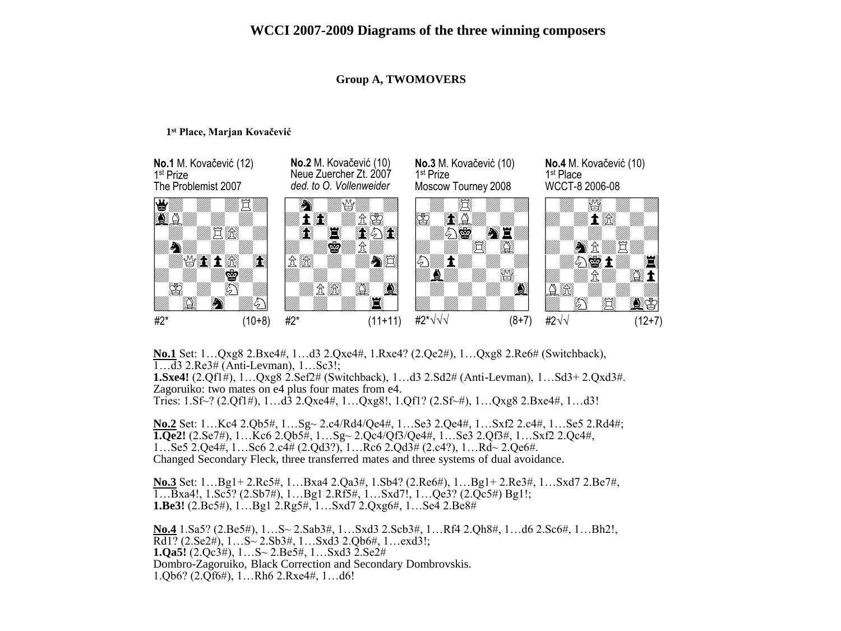# **Group A, TWOMOVERS**

## **1 st Place, Marjan Kovačević**



**No.1** Set: 1…Qxg8 2.Bxe4#, 1…d3 2.Qxe4#, 1.Rxe4? (2.Qe2#), 1…Qxg8 2.Re6# (Switchback), 1…d3 2.Re3# (Anti-Levman), 1…Sc3!;

**1.Sxe4!** (2.Qf1#), 1…Qxg8 2.Sef2# (Switchback), 1…d3 2.Sd2# (Anti-Levman), 1…Sd3+ 2.Qxd3#. Zagoruiko: two mates on e4 plus four mates from e4. Tries: 1.Sf~? (2.Qf1#), 1…d3 2.Qxe4#, 1…Qxg8!, 1.Qf1? (2.Sf~#), 1…Qxg8 2.Bxe4#, 1…d3!

**No.2** Set: 1…Kc4 2.Qb5#, 1…Sg~ 2.c4/Rd4/Qe4#, 1…Se3 2.Qe4#, 1…Sxf2 2.c4#, 1…Se5 2.Rd4#; **1.Qe2!** (2.Se7#), 1…Kc6 2.Qb5#, 1…Sg~ 2.Qc4/Qf3/Qe4#, 1…Se3 2.Qf3#, 1…Sxf2 2.Qc4#, 1…Se5 2.Qe4#, 1…Sc6 2.c4# (2.Qd3?), 1…Rc6 2.Qd3# (2.c4?), 1…Rd~ 2.Qe6#. Changed Secondary Fleck, three transferred mates and three systems of dual avoidance.

**No.3** Set: 1…Bg1+ 2.Rc5#, 1…Bxa4 2.Qa3#, 1.Sb4? (2.Re6#), 1…Bg1+ 2.Re3#, 1…Sxd7 2.Be7#, 1…Bxa4!, 1.Sc5? (2.Sb7#), 1…Bg1 2.Rf5#, 1…Sxd7!, 1…Qe3? (2.Qc5#) Bg1!; **1.Be3!** (2.Bc5#), 1…Bg1 2.Rg5#, 1…Sxd7 2.Qxg6#, 1…Se4 2.Be8#

**No.4** 1.Sa5? (2.Be5#), 1…S~ 2.Sab3#, 1…Sxd3 2.Scb3#, 1…Rf4 2.Qh8#, 1…d6 2.Sc6#, 1…Bh2!,  $\overline{Rd1?}$  (2.Se2#),  $1...S \sim 2.5b3#$ ,  $1...Sxd3$  2.Ob6#,  $1...exd3!$ ; **1.Qa5!** (2.Qc3#), 1…S~ 2.Be5#, 1…Sxd3 2.Se2# Dombro-Zagoruiko, Black Correction and Secondary Dombrovskis. 1.Qb6? (2.Qf6#), 1…Rh6 2.Rxe4#, 1…d6!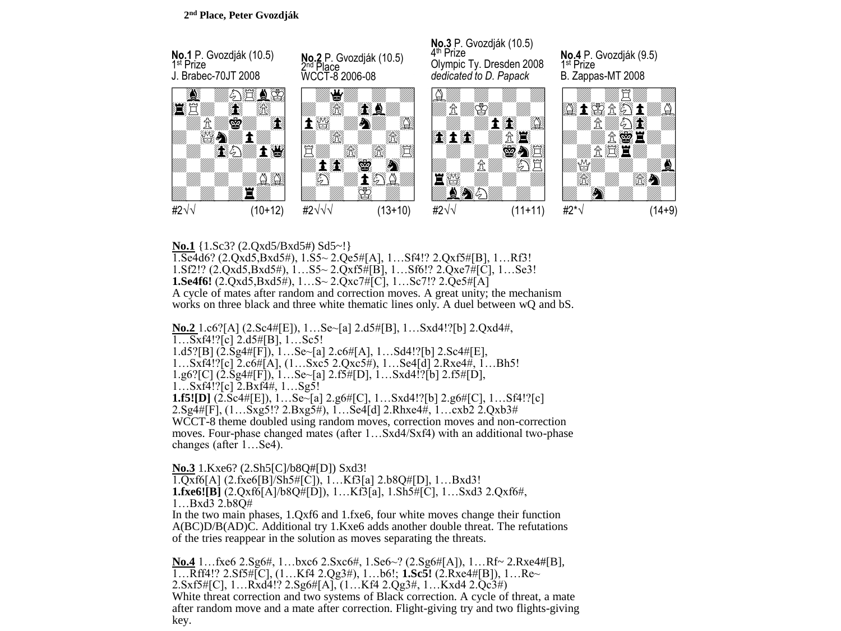

# **No.1** {1.Sc3? (2.Qxd5/Bxd5#) Sd5~!}

1.Se4d6? (2.Qxd5,Bxd5#), 1.S5~ 2.Qe5#[A], 1…Sf4!? 2.Qxf5#[B], 1…Rf3! 1.Sf2!? (2.Qxd5,Bxd5#), 1…S5~ 2.Qxf5#[B], 1…Sf6!? 2.Qxe7#[C], 1…Se3! **1.Se4f6!** (2.Qxd5,Bxd5#), 1…S~ 2.Qxc7#[C], 1…Sc7!? 2.Qe5#[A] A cycle of mates after random and correction moves. A great unity; the mechanism works on three black and three white thematic lines only. A duel between wQ and bS.

**No.2** 1.c6?[A] (2.Sc4#[E]), 1…Se~[a] 2.d5#[B], 1…Sxd4!?[b] 2.Qxd4#,  $1...Sxf4!$ ?[c]  $2. d5#[B]$ ,  $1...Sc5!$ 1.d5?[B]  $(2.5g4\# [F])$ , 1...Se~[a] 2.c6#[A], 1...Sd4!?[b] 2.Sc4#[E], 1…Sxf4!?[c] 2.c6#[A], (1…Sxc5 2.Qxc5#), 1…Se4[d] 2.Rxe4#, 1…Bh5! 1.g6?[C] (2.Sg4#[F]), 1…Se~[a] 2.f5#[D], 1…Sxd4!?[b] 2.f5#[D], 1…Sxf4!?[c] 2.Bxf4#, 1…Sg5! **1.f5![D]** (2.Sc4#[E]), 1…Se~[a] 2.g6#[C], 1…Sxd4!?[b] 2.g6#[C], 1…Sf4!?[c] 2.Sg4#[F], (1…Sxg5!? 2.Bxg5#), 1…Se4[d] 2.Rhxe4#, 1…cxb2 2.Qxb3# WCCT-8 theme doubled using random moves, correction moves and non-correction moves. Four-phase changed mates (after 1…Sxd4/Sxf4) with an additional two-phase changes (after 1…Se4).

**No.3** 1.Kxe6? (2.Sh5[C]/b8Q#[D]) Sxd3! 1.Qxf6[A] (2.fxe6[B]/Sh5#[C]), 1…Kf3[a] 2.b8Q#[D], 1…Bxd3! **1.fxe6![B]** (2.Qxf6[A]/b8Q#[D]), 1…Kf3[a], 1.Sh5#[C], 1…Sxd3 2.Qxf6#, 1…Bxd3 2.b8Q# In the two main phases, 1.Qxf6 and 1.fxe6, four white moves change their function

A(BC)D/B(AD)C. Additional try 1.Kxe6 adds another double threat. The refutations of the tries reappear in the solution as moves separating the threats.

**No.4** 1…fxe6 2.Sg6#, 1…bxc6 2.Sxc6#, 1.Se6~? (2.Sg6#[A]), 1…Rf~ 2.Rxe4#[B], 1…Rff4!? 2.Sf5#[C], (1…Kf4 2.Qg3#), 1…b6!; **1.Sc5!** (2.Rxe4#[B]), 1…Re~ 2.Sxf5#[C], 1…Rxd4!? 2.Sg6#[A], (1…Kf4 2.Qg3#, 1…Kxd4 2.Qc3#) White threat correction and two systems of Black correction. A cycle of threat, a mate after random move and a mate after correction. Flight-giving try and two flights-giving key.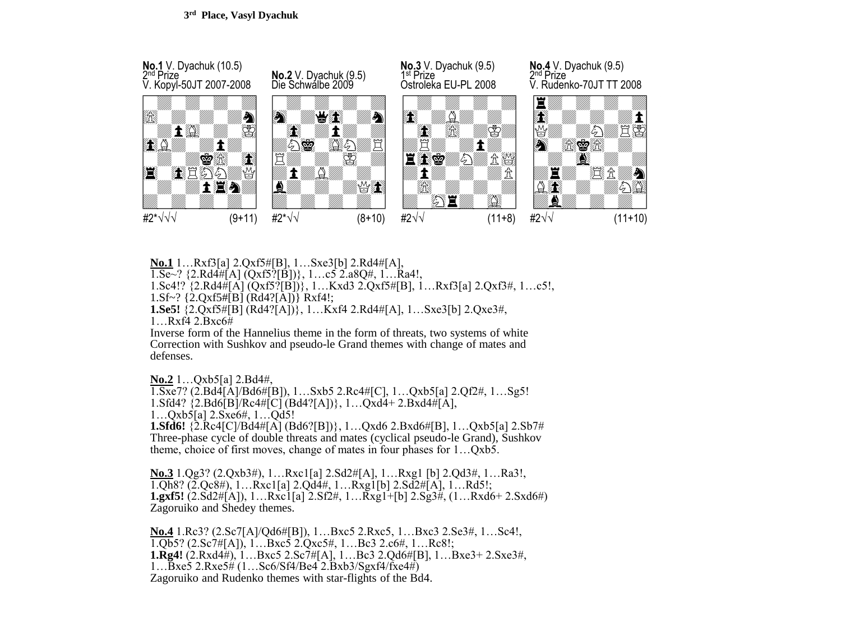

**No.1** 1…Rxf3[a] 2.Qxf5#[B], 1…Sxe3[b] 2.Rd4#[A],

 $1.$ Se~? {2.Rd4#[A] (Qxf5?[B])}, 1...c5 2.a8Q#, 1...Ra4!,

1.Sc4!? {2.Rd4#[A] (Qxf5?[B])}, 1…Kxd3 2.Qxf5#[B], 1…Rxf3[a] 2.Qxf3#, 1…c5!,

1.Sf~? {2.Qxf5#[B] (Rd4?[A])} Rxf4!;

**1.Se5!** {2.Qxf5#[B] (Rd4?[A])}, 1…Kxf4 2.Rd4#[A], 1…Sxe3[b] 2.Qxe3#,

1…Rxf4 2.Bxc6#

Inverse form of the Hannelius theme in the form of threats, two systems of white Correction with Sushkov and pseudo-le Grand themes with change of mates and defenses.

**No.2** 1…Qxb5[a] 2.Bd4#,

1.Sxe7? (2.Bd4[A]/Bd6#[B]), 1…Sxb5 2.Rc4#[C], 1…Qxb5[a] 2.Qf2#, 1…Sg5! 1.Sfd4?  ${2.Bd6\bar{B}}/Rc4\bar{t}$ [C]  $(Bd4?[A])$ , 1... $Qx\bar{d}+2.Bx\bar{d}4\bar{t}$ [A], 1…Qxb5[a] 2.Sxe6#, 1…Qd5! **1.Sfd6!** {2.Rc4[C]/Bd4#[A] (Bd6?[B])}, 1…Qxd6 2.Bxd6#[B], 1…Qxb5[a] 2.Sb7# Three-phase cycle of double threats and mates (cyclical pseudo-le Grand), Sushkov theme, choice of first moves, change of mates in four phases for 1…Qxb5.

**No.3** 1.Qg3? (2.Qxb3#), 1…Rxc1[a] 2.Sd2#[A], 1…Rxg1 [b] 2.Qd3#, 1…Ra3!, 1.Qh8? (2.Qc8#), 1…Rxc1[a] 2.Qd4#, 1…Rxg1[b] 2.Sd2#[A], 1…Rd5!; **1.gxf5!** (2.Sd2#[A]), 1…Rxc1[a] 2.Sf2#, 1…Rxg1+[b] 2.Sg3#, (1…Rxd6+ 2.Sxd6#) Zagoruiko and Shedey themes.

**No.4** 1.Rc3? (2.Sc7[A]/Qd6#[B]), 1…Bxc5 2.Rxc5, 1…Bxc3 2.Se3#, 1…Sc4!, 1.Qb5? (2.Sc7#[A]), 1…Bxc5 2.Qxc5#, 1…Bc3 2.c6#, 1…Rc8!; **1.Rg4!** (2.Rxd4#), 1…Bxc5 2.Sc7#[A], 1…Bc3 2.Qd6#[B], 1…Bxe3+ 2.Sxe3#, 1…Bxe5 2.Rxe5# (1…Sc6/Sf4/Be4 2.Bxb3/Sgxf4/fxe4#) Zagoruiko and Rudenko themes with star-flights of the Bd4.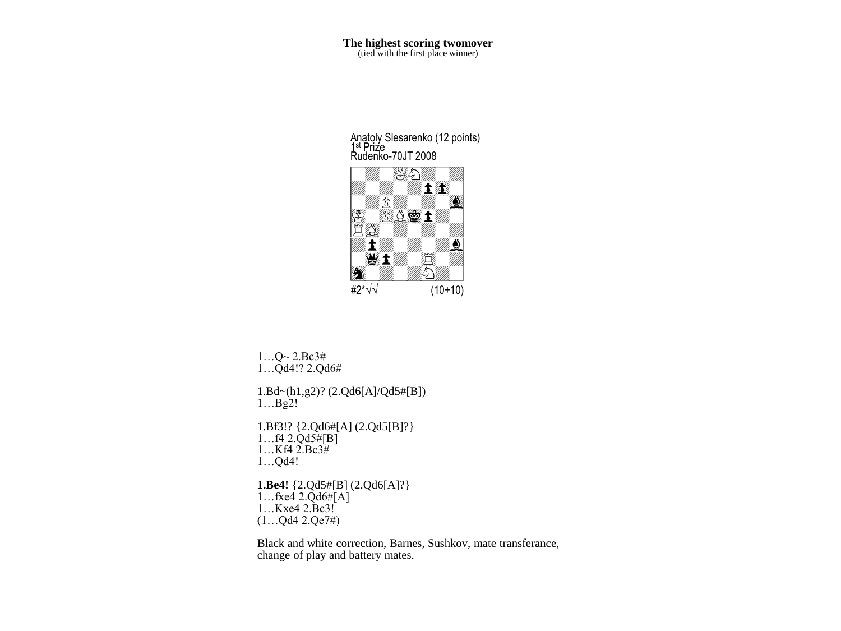**The highest scoring twomover**<br>(tied with the first place winner)

Rudenko-70JT 2008  $\mathbb{Z}$ 2 Anatoly Slesarenko (12 points) 1<sup>st</sup> Prize



 $1...Q$  ~  $2.Bc3#$ 1…Qd4!? 2.Qd6#

1.Bd~(h1,g2)? (2.Qd6[A]/Qd5#[B]) 1…Bg2!

1.Bf3!? {2.Qd6#[A] (2.Qd5[B]?}  $1...f4$  2. $Qd5#[B]$ 1…Kf4 2.Bc3# 1…Qd4!

# **1.Be4!** {2.Qd5#[B] (2.Qd6[A]?}  $1...$ fxe4 2.Qd6# $[A]$

1…Kxe4 2.Bc3! (1…Qd4 2.Qe7#)

Black and white correction, Barnes, Sushkov, mate transferance, change of play and battery mates.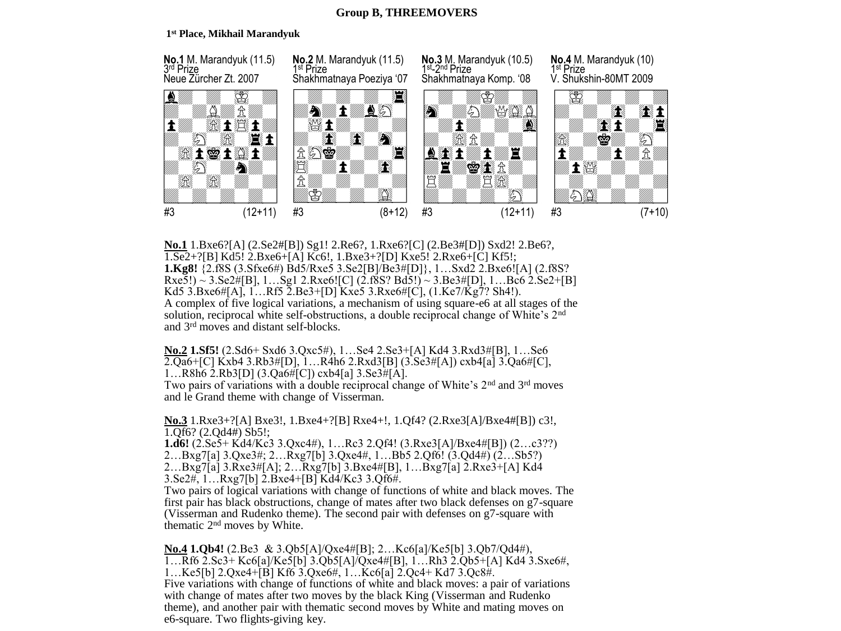# **Group B, THREEMOVERS**

## **1 st Place, Mikhail Marandyuk**



**No.1** 1.Bxe6?[A] (2.Se2#[B]) Sg1! 2.Re6?, 1.Rxe6?[C] (2.Be3#[D]) Sxd2! 2.Be6?, 1.Se2+?[B] Kd5! 2.Bxe6+[A] Kc6!, 1.Bxe3+?[D] Kxe5! 2.Rxe6+[C] Kf5!; **1.Kg8!** {2.f8S (3.Sfxe6#) Bd5/Rxe5 3.Se2[B]/Be3#[D]}, 1…Sxd2 2.Bxe6![A] (2.f8S?  $Rxe5!) \sim 3. Se2\#[B], 1...Sg1$  2. $Rxe6$ ![C]  $(2.18S2 Bd5!) \sim 3. Be3\#[D], 1...Be6$  2. $Se2+[B]$ Kd5 3.Bxe6#[A], 1…Rf5 2.Be3+[D] Kxe5 3.Rxe6#[C], (1.Ke7/Kg7? Sh4!). A complex of five logical variations, a mechanism of using square-e6 at all stages of the solution, reciprocal white self-obstructions, a double reciprocal change of White's 2<sup>nd</sup> and 3rd moves and distant self-blocks.

**No.2 1.Sf5!** (2.Sd6+ Sxd6 3.Qxc5#), 1…Se4 2.Se3+[A] Kd4 3.Rxd3#[B], 1…Se6 2.Qa6+[C] Kxb4 3.Rb3#[D], 1…R4h6 2.Rxd3[B] (3.Se3#[A]) cxb4[a] 3.Qa6#[C], 1…R8h6 2.Rb3[D] (3.Qa6#[C]) cxb4[a] 3.Se3#[A].

Two pairs of variations with a double reciprocal change of White's  $2<sup>nd</sup>$  and  $3<sup>rd</sup>$  moves and le Grand theme with change of Visserman.

**No.3** 1.Rxe3+?[A] Bxe3!, 1.Bxe4+?[B] Rxe4+!, 1.Qf4? (2.Rxe3[A]/Bxe4#[B]) c3!, 1.Qf6? (2.Qd4#) Sb5!;

**1.d6!** (2.Se5+ Kd4/Kc3 3.Qxc4#), 1…Rc3 2.Qf4! (3.Rxe3[A]/Bxe4#[B]) (2…c3??) 2…Bxg7[a] 3.Qxe3#; 2…Rxg7[b] 3.Qxe4#, 1…Bb5 2.Qf6! (3.Qd4#) (2…Sb5?) 2…Bxg7[a] 3.Rxe3#[A]; 2…Rxg7[b] 3.Bxe4#[B], 1…Bxg7[a] 2.Rxe3+[A] Kd4 3.Se2#, 1…Rxg7[b] 2.Bxe4+[B] Kd4/Kc3 3.Qf6#.

Two pairs of logical variations with change of functions of white and black moves. The first pair has black obstructions, change of mates after two black defenses on g7-square (Visserman and Rudenko theme). The second pair with defenses on g7-square with thematic 2nd moves by White.

**No.4 1.Qb4!** (2.Be3 & 3.Qb5[A]/Qxe4#[B]; 2…Kc6[a]/Ke5[b] 3.Qb7/Qd4#), 1…Rf6 2.Sc3+ Kc6[a]/Ke5[b] 3.Qb5[A]/Qxe4#[B], 1…Rh3 2.Qb5+[A] Kd4 3.Sxe6#, 1…Ke5[b] 2.Qxe4+[B] Kf6 3.Qxe6#, 1…Kc6[a] 2.Qc4+ Kd7 3.Qc8#. Five variations with change of functions of white and black moves: a pair of variations with change of mates after two moves by the black King (Visserman and Rudenko theme), and another pair with thematic second moves by White and mating moves on e6-square. Two flights-giving key.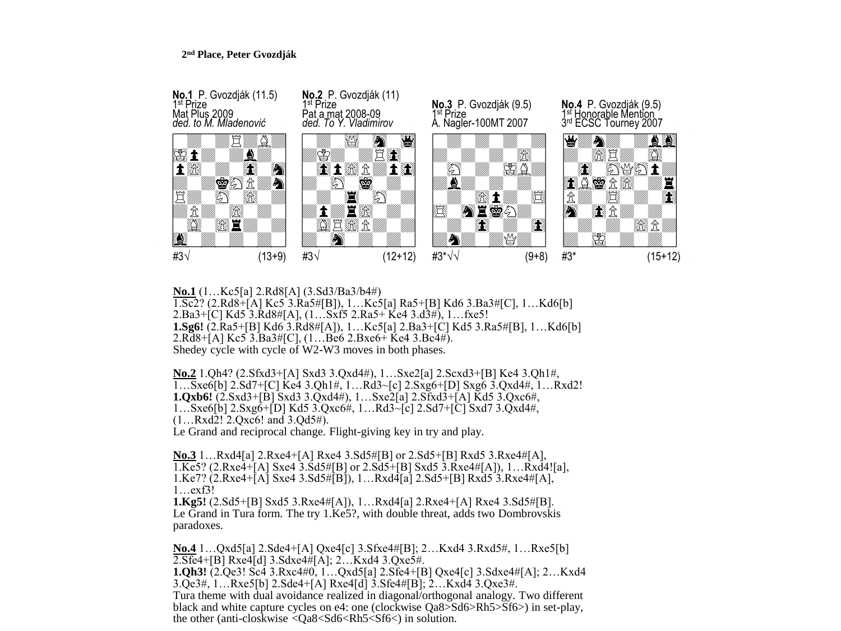## **2 nd Place, Peter Gvozdják**



**No.1** (1…Kc5[a] 2.Rd8[A] (3.Sd3/Ba3/b4#) 1.Sc2? (2.Rd8+[A] Kc5 3.Ra5#[B]), 1…Kc5[a] Ra5+[B] Kd6 3.Ba3#[C], 1…Kd6[b] 2.Ba3+[C] Kd5 3.Rd8#[A], (1…Sxf5 2.Ra5+ Ke4 3.d3#), 1…fxe5! **1.Sg6!** (2.Ra5+[B] Kd6 3.Rd8#[A]), 1…Kc5[a] 2.Ba3+[C] Kd5 3.Ra5#[B], 1…Kd6[b] 2.Rd8+[A] Kc5 3.Ba3#[C], (1…Be6 2.Bxe6+ Ke4 3.Bc4#). Shedey cycle with cycle of W2-W3 moves in both phases.

**No.2** 1.Qh4? (2.Sfxd3+[A] Sxd3 3.Qxd4#), 1…Sxe2[a] 2.Scxd3+[B] Ke4 3.Qh1#, 1…Sxe6[b] 2.Sd7+[C] Ke4 3.Qh1#, 1…Rd3~[c] 2.Sxg6+[D] Sxg6 3.Qxd4#, 1…Rxd2! **1.Qxb6!** (2.Sxd3+[B] Sxd3 3.Qxd4#), 1…Sxe2[a] 2.Sfxd3+[A] Kd5 3.Qxc6#, 1…Sxe6[b] 2.Sxg6+[D] Kd5 3.Qxc6#, 1…Rd3~[c] 2.Sd7+[C] Sxd7 3.Qxd4#, (1…Rxd2! 2.Qxc6! and 3.Qd5#).

Le Grand and reciprocal change. Flight-giving key in try and play.

**No.3** 1…Rxd4[a] 2.Rxe4+[A] Rxe4 3.Sd5#[B] or 2.Sd5+[B] Rxd5 3.Rxe4#[A],  $1.$ Ke5? (2.Rxe $\overline{4}$ +[A] Sxe $4$  3.Sd5#[B] or 2.Sd5+[B] Sxd5 3.Rxe $4$ #[A]), 1…Rxd $\overline{4}$ ![a], 1.Ke7? (2.Rxe4+ $\bar{A}$ ] Sxe4 3.Sd5# $\bar{B}$ ]), 1...Rxd4 $\bar{A}$ [a] 2.Sd5+ $\bar{B}$ ] Rxd5 3.Rxe4# $[A]$ , 1…exf3!

**1.Kg5!** (2.Sd5+[B] Sxd5 3.Rxe4#[A]), 1…Rxd4[a] 2.Rxe4+[A] Rxe4 3.Sd5#[B]. Le Grand in Tura form. The try 1.Ke5?, with double threat, adds two Dombrovskis paradoxes.

**No.4** 1…Qxd5[a] 2.Sde4+[A] Qxe4[c] 3.Sfxe4#[B]; 2…Kxd4 3.Rxd5#, 1…Rxe5[b] 2.Sfe4+[B] Rxe4[d] 3.Sdxe4#[A]; 2…Kxd4 3.Qxe5#. **1.Qh3!** (2.Qe3! Sc4 3.Rxc4#0, 1…Qxd5[a] 2.Sfe4+[B] Qxe4[c] 3.Sdxe4#[A]; 2…Kxd4 3.Qe3#, 1…Rxe5[b] 2.Sde4+[A] Rxe4[d] 3.Sfe4#[B]; 2…Kxd4 3.Qxe3#. Tura theme with dual avoidance realized in diagonal/orthogonal analogy. Two different black and white capture cycles on e4: one (clockwise Qa8>Sd6>Rh5>Sf6>) in set-play, the other (anti-closkwise <Qa8<Sd6<Rh5<Sf6<) in solution.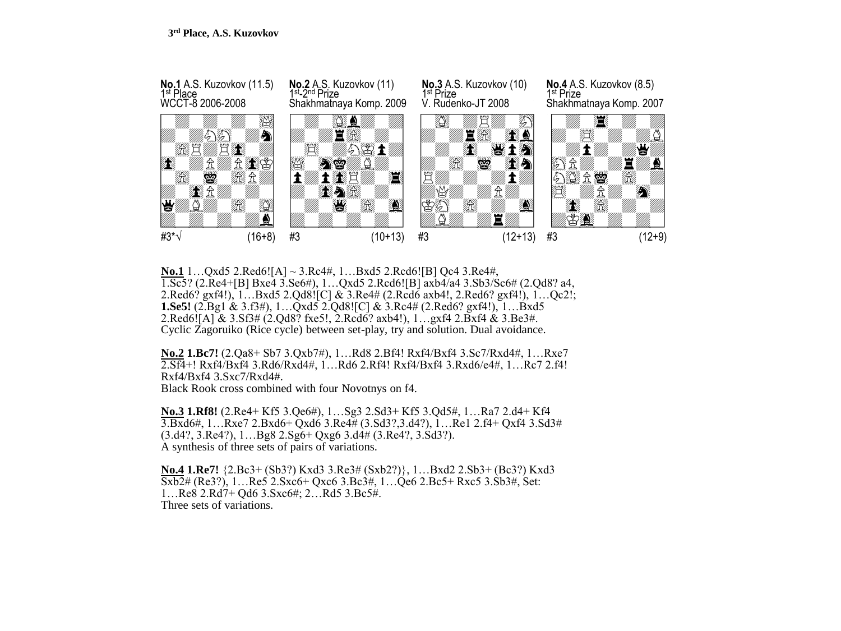

**No.1** 1…Qxd5 2.Red6![A] ~ 3.Rc4#, 1…Bxd5 2.Rcd6![B] Qc4 3.Re4#, 1.Sc5? (2.Re4+[B] Bxe4 3.Se6#), 1…Qxd5 2.Rcd6![B] axb4/a4 3.Sb3/Sc6# (2.Qd8? a4, 2.Red6? gxf4!), 1…Bxd5 2.Qd8![C] & 3.Re4# (2.Rcd6 axb4!, 2.Red6? gxf4!), 1…Qc2!; **1.Se5!** (2.Bg1 & 3.f3#), 1…Qxd5 2.Qd8![C] & 3.Rc4# (2.Red6? gxf4!), 1…Bxd5 2.Red6![A] & 3.Sf3# (2.Qd8? fxe5!, 2.Rcd6? axb4!), 1…gxf4 2.Bxf4 & 3.Be3#. Cyclic Zagoruiko (Rice cycle) between set-play, try and solution. Dual avoidance.

**No.2 1.Bc7!** (2.Qa8+ Sb7 3.Qxb7#), 1…Rd8 2.Bf4! Rxf4/Bxf4 3.Sc7/Rxd4#, 1…Rxe7 2.Sf4+! Rxf4/Bxf4 3.Rd6/Rxd4#, 1…Rd6 2.Rf4! Rxf4/Bxf4 3.Rxd6/e4#, 1…Rc7 2.f4! Rxf4/Bxf4 3.Sxc7/Rxd4#.

Black Rook cross combined with four Novotnys on f4.

**No.3 1.Rf8!** (2.Re4+ Kf5 3.Qe6#), 1…Sg3 2.Sd3+ Kf5 3.Qd5#, 1…Ra7 2.d4+ Kf4 3.Bxd6#, 1…Rxe7 2.Bxd6+ Qxd6 3.Re4# (3.Sd3?,3.d4?), 1…Re1 2.f4+ Qxf4 3.Sd3# (3.d4?, 3.Re4?), 1…Bg8 2.Sg6+ Qxg6 3.d4# (3.Re4?, 3.Sd3?). A synthesis of three sets of pairs of variations.

**No.4 1.Re7!** {2.Bc3+ (Sb3?) Kxd3 3.Re3# (Sxb2?)}, 1…Bxd2 2.Sb3+ (Bc3?) Kxd3 Sxb2# (Re3?), 1…Re5 2.Sxc6+ Qxc6 3.Bc3#, 1…Qe6 2.Bc5+ Rxc5 3.Sb3#, Set: 1…Re8 2.Rd7+ Qd6 3.Sxc6#; 2…Rd5 3.Bc5#. Three sets of variations.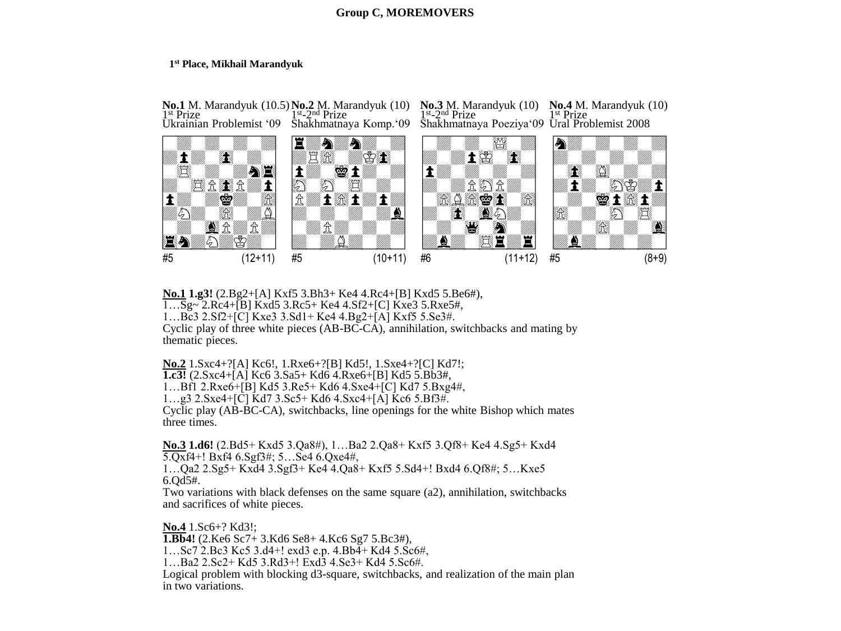# **Group C, MOREMOVERS**

#### **1 st Place, Mikhail Marandyuk**



**No.1 1.g3!** (2.Bg2+[A] Kxf5 3.Bh3+ Ke4 4.Rc4+[B] Kxd5 5.Be6#), 1…Sg~ 2.Rc4+[B] Kxd5 3.Rc5+ Ke4 4.Sf2+[C] Kxe3 5.Rxe5#, 1…Bc3 2.Sf2+[C] Kxe3 3.Sd1+ Ke4 4.Bg2+[A] Kxf5 5.Se3#. Cyclic play of three white pieces (AB-BC-CA), annihilation, switchbacks and mating by thematic pieces.

**No.2** 1.Sxc4+?[A] Kc6!, 1.Rxe6+?[B] Kd5!, 1.Sxe4+?[C] Kd7!; **1.c3!** (2.Sxc4+[A] Kc6 3.Sa5+ Kd6 4.Rxe6+[B] Kd5 5.Bb3#, 1…Bf1 2.Rxe6+[B] Kd5 3.Re5+ Kd6 4.Sxe4+[C] Kd7 5.Bxg4#, 1…g3 2.Sxe4+[C] Kd7 3.Sc5+ Kd6 4.Sxc4+[A] Kc6 5.Bf3#.

Cyclic play (AB-BC-CA), switchbacks, line openings for the white Bishop which mates three times.

**No.3 1.d6!** (2.Bd5+ Kxd5 3.Qa8#), 1…Ba2 2.Qa8+ Kxf5 3.Qf8+ Ke4 4.Sg5+ Kxd4 5.Qxf4+! Bxf4 6.Sgf3#; 5…Se4 6.Qxe4#, 1…Qa2 2.Sg5+ Kxd4 3.Sgf3+ Ke4 4.Qa8+ Kxf5 5.Sd4+! Bxd4 6.Qf8#; 5…Kxe5 6.Qd5#.

Two variations with black defenses on the same square (a2), annihilation, switchbacks and sacrifices of white pieces.

**No.4** 1.Sc6+? Kd3!; **1.Bb4!** (2.Ke6 Sc7+ 3.Kd6 Se8+ 4.Kc6 Sg7 5.Bc3#), 1…Sc7 2.Bc3 Kc5 3.d4+! exd3 e.p. 4.Bb4+ Kd4 5.Sc6#, 1…Ba2 2.Sc2+ Kd5 3.Rd3+! Exd3 4.Se3+ Kd4 5.Sc6#. Logical problem with blocking d3-square, switchbacks, and realization of the main plan in two variations.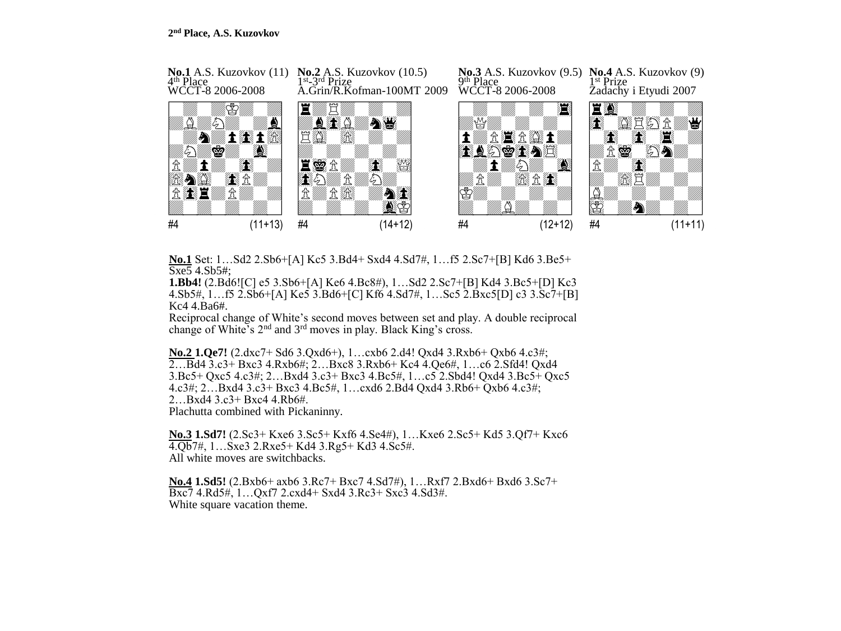

**No.1** Set: 1…Sd2 2.Sb6+[A] Kc5 3.Bd4+ Sxd4 4.Sd7#, 1…f5 2.Sc7+[B] Kd6 3.Be5+ Sxe5 4.Sb5#;

**1.Bb4!** (2.Bd6![C] e5 3.Sb6+[A] Ke6 4.Bc8#), 1…Sd2 2.Sc7+[B] Kd4 3.Bc5+[D] Kc3 4.Sb5#, 1…f5 2.Sb6+[A] Ke5 3.Bd6+[C] Kf6 4.Sd7#, 1…Sc5 2.Bxc5[D] c3 3.Sc7+[B] Kc4 4.Ba6#.

Reciprocal change of White's second moves between set and play. A double reciprocal change of White's 2nd and 3rd moves in play. Black King's cross.

**No.2 1.Qe7!** (2.dxc7+ Sd6 3.Qxd6+), 1…cxb6 2.d4! Qxd4 3.Rxb6+ Qxb6 4.c3#; 2…Bd4 3.c3+ Bxc3 4.Rxb6#; 2…Bxc8 3.Rxb6+ Kc4 4.Qe6#, 1…c6 2.Sfd4! Qxd4 3.Bc5+ Qxc5 4.c3#; 2…Bxd4 3.c3+ Bxc3 4.Bc5#, 1…c5 2.Sbd4! Qxd4 3.Bc5+ Qxc5 4.c3#; 2…Bxd4 3.c3+ Bxc3 4.Bc5#, 1…cxd6 2.Bd4 Qxd4 3.Rb6+ Qxb6 4.c3#; 2…Bxd4 3.c3+ Bxc4 4.Rb6#. Plachutta combined with Pickaninny.

**No.3 1.Sd7!** (2.Sc3+ Kxe6 3.Sc5+ Kxf6 4.Se4#), 1…Kxe6 2.Sc5+ Kd5 3.Qf7+ Kxc6 4.Qb7#, 1…Sxe3 2.Rxe5+ Kd4 3.Rg5+ Kd3 4.Sc5#. All white moves are switchbacks.

**No.4 1.Sd5!** (2.Bxb6+ axb6 3.Rc7+ Bxc7 4.Sd7#), 1…Rxf7 2.Bxd6+ Bxd6 3.Sc7+ Bxc7 4.Rd5#, 1…Qxf7 2.cxd4+ Sxd4 3.Rc3+ Sxc3 4.Sd3#. White square vacation theme.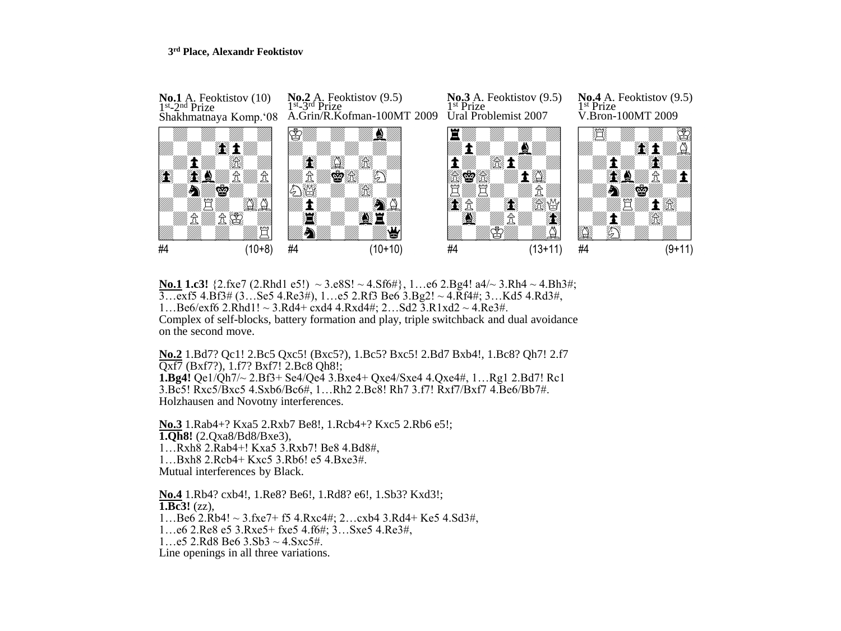### **3 rd Place, Alexandr Feoktistov**



**No.1 1.c3!** {2.fxe7 (2.Rhd1 e5!) ~ 3.e8S! ~ 4.Sf6#}, 1...e6 2.Bg4! a4/~ 3.Rh4 ~ 4.Bh3#; 3…exf5 4.Bf3# (3…Se5 4.Re3#), 1…e5 2.Rf3 Be6 3.Bg2! ~ 4.Rf4#; 3…Kd5 4.Rd3#, 1...Be6/exf6 2.Rhd1! ~ 3.Rd4+ cxd4 4.Rxd4#; 2...Sd2 3.R1xd2 ~ 4.Re3#. Complex of self-blocks, battery formation and play, triple switchback and dual avoidance on the second move.

**No.2** 1.Bd7? Qc1! 2.Bc5 Qxc5! (Bxc5?), 1.Bc5? Bxc5! 2.Bd7 Bxb4!, 1.Bc8? Qh7! 2.f7 Qxf7 (Bxf7?), 1.f7? Bxf7! 2.Bc8 Qh8!; **1.Bg4!** Qe1/Qh7/~ 2.Bf3+ Se4/Qe4 3.Bxe4+ Qxe4/Sxe4 4.Qxe4#, 1…Rg1 2.Bd7! Rc1 3.Bc5! Rxc5/Bxc5 4.Sxb6/Bc6#, 1…Rh2 2.Bc8! Rh7 3.f7! Rxf7/Bxf7 4.Be6/Bb7#. Holzhausen and Novotny interferences.

**No.3** 1.Rab4+? Kxa5 2.Rxb7 Be8!, 1.Rcb4+? Kxc5 2.Rb6 e5!; **1.Qh8!** (2.Qxa8/Bd8/Bxe3), 1…Rxh8 2.Rab4+! Kxa5 3.Rxb7! Be8 4.Bd8#, 1…Bxh8 2.Rcb4+ Kxc5 3.Rb6! e5 4.Bxe3#. Mutual interferences by Black.

**No.4** 1.Rb4? cxb4!, 1.Re8? Be6!, 1.Rd8? e6!, 1.Sb3? Kxd3!; **1.Bc3!** (zz),  $1...$ Be6 2.Rb4! ~ 3.fxe7+ f5 4.Rxc4#; 2...cxb4 3.Rd4+ Ke5 4.Sd3#, 1…e6 2.Re8 e5 3.Rxe5+ fxe5 4.f6#; 3…Sxe5 4.Re3#, 1...e5 2.Rd8 Be6  $3.$ Sb $3 \sim 4.$ Sxc5#.

Line openings in all three variations.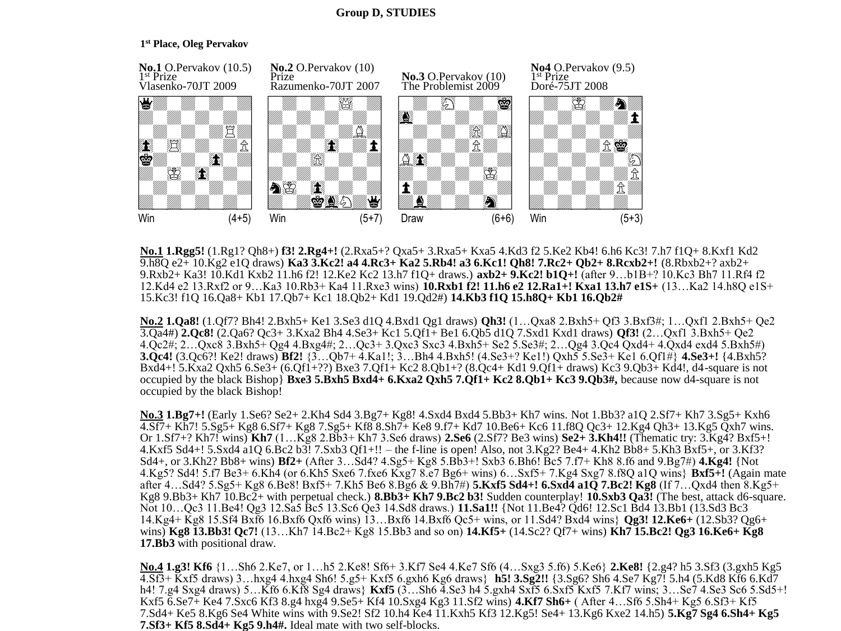# **Group D, STUDIES**

# **1 st Place, Oleg Pervakov**



**No.1 1.Rgg5!** (1.Rg1? Qh8+) **f3! 2.Rg4+!** (2.Rxa5+? Qxa5+ 3.Rxa5+ Kxa5 4.Kd3 f2 5.Ke2 Kb4! 6.h6 Kc3! 7.h7 f1Q+ 8.Kxf1 Kd2 9.h8Q e2+ 10.Kg2 e1Q draws) **Ka3 3.Kc2! a4 4.Rc3+ Ka2 5.Rb4! a3 6.Kc1! Qh8! 7.Rc2+ Qb2+ 8.Rcxb2+!** (8.Rbxb2+? axb2+ 9.Rxb2+ Ka3! 10.Kd1 Kxb2 11.h6 f2! 12.Ke2 Kc2 13.h7 f1Q+ draws.) **axb2+ 9.Kc2! b1Q+!** (after 9…b1B+? 10.Kc3 Bh7 11.Rf4 f2 12.Kd4 e2 13.Rxf2 or 9…Ka3 10.Rb3+ Ka4 11.Rxe3 wins) **10.Rxb1 f2! 11.h6 e2 12.Ra1+! Kxa1 13.h7 e1S+** (13…Ka2 14.h8Q e1S+ 15.Kc3! f1Q 16.Qa8+ Kb1 17.Qb7+ Kc1 18.Qb2+ Kd1 19.Qd2#) **14.Kb3 f1Q 15.h8Q+ Kb1 16.Qb2#** 

**No.2 1.Qa8!** (1.Qf7? Bh4! 2.Bxh5+ Ke1 3.Se3 d1Q 4.Bxd1 Qg1 draws) **Qh3!** (1…Qxa8 2.Bxh5+ Qf3 3.Bxf3#; 1…Qxf1 2.Bxh5+ Qe2 3.Qa4#) **2.Qc8!** (2.Qa6? Qc3+ 3.Kxa2 Bh4 4.Se3+ Kc1 5.Qf1+ Be1 6.Qb5 d1Q 7.Sxd1 Kxd1 draws) **Qf3!** (2…Qxf1 3.Bxh5+ Qe2 4.Qc2#; 2…Qxc8 3.Bxh5+ Qg4 4.Bxg4#; 2…Qc3+ 3.Qxc3 Sxc3 4.Bxh5+ Se2 5.Se3#; 2…Qg4 3.Qc4 Qxd4+ 4.Qxd4 exd4 5.Bxh5#) **3.Qc4!** (3.Qc6?! Ke2! draws) **Bf2!** {3…Qb7+ 4.Ka1!; 3…Bh4 4.Bxh5! (4.Se3+? Ke1!) Qxh5 5.Se3+ Ke1 6.Qf1#} **4.Se3+!** {4.Bxh5? Bxd4+! 5.Kxa2 Qxh5 6.Se3+ (6.Qf1+??) Bxe3 7.Qf1+ Kc2 8.Qb1+? (8.Qc4+ Kd1 9.Qf1+ draws) Kc3 9.Qb3+ Kd4!, d4-square is not occupied by the black Bishop} **Bxe3 5.Bxh5 Bxd4+ 6.Kxa2 Qxh5 7.Qf1+ Kc2 8.Qb1+ Kc3 9.Qb3#,** because now d4-square is not occupied by the black Bishop!

**No.3 1.Bg7+!** (Early 1.Se6? Se2+ 2.Kh4 Sd4 3.Bg7+ Kg8! 4.Sxd4 Bxd4 5.Bb3+ Kh7 wins. Not 1.Bb3? a1Q 2.Sf7+ Kh7 3.Sg5+ Kxh6 4.Sf7+ Kh7! 5.Sg5+ Kg8 6.Sf7+ Kg8 7.Sg5+ Kf8 8.Sh7+ Ke8 9.f7+ Kd7 10.Be6+ Kc6 11.f8Q Qc3+ 12.Kg4 Qh3+ 13.Kg5 Qxh7 wins. Or 1.Sf7+? Kh7! wins) **Kh7** (1…Kg8 2.Bb3+ Kh7 3.Se6 draws) **2.Se6** (2.Sf7? Be3 wins) **Se2+ 3.Kh4!!** (Thematic try: 3.Kg4? Bxf5+! 4.Kxf5 Sd4+! 5.Sxd4 a1Q 6.Bc2 b3! 7.Sxb3 Qf1+!! – the f-line is open! Also, not 3.Kg2? Be4+ 4.Kh2 Bb8+ 5.Kh3 Bxf5+, or 3.Kf3? Sd4+, or 3.Kh2? Bb8+ wins) **Bf2+** (After 3…Sd4? 4.Sg5+ Kg8 5.Bb3+! Sxb3 6.Bh6! Bc5 7.f7+ Kh8 8.f6 and 9.Bg7#) **4.Kg4!** {Not 4.Kg5? Sd4! 5.f7 Be3+ 6.Kh4 (or 6.Kh5 Sxe6 7.fxe6 Kxg7 8.e7 Bg6+ wins) 6…Sxf5+ 7.Kg4 Sxg7 8.f8Q a1Q wins} **Bxf5+!** (Again mate after 4…Sd4? 5.Sg5+ Kg8 6.Be8! Bxf5+ 7.Kh5 Be6 8.Bg6 & 9.Bh7#) **5.Kxf5 Sd4+! 6.Sxd4 a1Q 7.Bc2! Kg8** (If 7…Qxd4 then 8.Kg5+ Kg8 9.Bb3+ Kh7 10.Bc2+ with perpetual check.) **8.Bb3+ Kh7 9.Bc2 b3!** Sudden counterplay! **10.Sxb3 Qa3!** (The best, attack d6-square. Not 10…Qc3 11.Be4! Qg3 12.Sa5 Bc5 13.Sc6 Qe3 14.Sd8 draws.) **11.Sa1!!** {Not 11.Be4? Qd6! 12.Sc1 Bd4 13.Bb1 (13.Sd3 Bc3 14.Kg4+ Kg8 15.Sf4 Bxf6 16.Bxf6 Qxf6 wins) 13…Bxf6 14.Bxf6 Qc5+ wins, or 11.Sd4? Bxd4 wins} **Qg3! 12.Ke6+** (12.Sb3? Qg6+ wins) **Kg8 13.Bb3! Qc7!** (13…Kh7 14.Bc2+ Kg8 15.Bb3 and so on) **14.Kf5+** (14.Sc2? Qf7+ wins) **Kh7 15.Bc2! Qg3 16.Ke6+ Kg8 17.Bb3** with positional draw.

**No.4 1.g3! Kf6** {1…Sh6 2.Ke7, or 1…h5 2.Ke8! Sf6+ 3.Kf7 Se4 4.Ke7 Sf6 (4…Sxg3 5.f6) 5.Ke6} **2.Ke8!** {2.g4? h5 3.Sf3 (3.gxh5 Kg5 4.Sf3+ Kxf5 draws) 3…hxg4 4.hxg4 Sh6! 5.g5+ Kxf5 6.gxh6 Kg6 draws} **h5! 3.Sg2!!** {3.Sg6? Sh6 4.Se7 Kg7! 5.h4 (5.Kd8 Kf6 6.Kd7 h4! 7.g4 Sxg4 draws) 5…Kf6 6.Kf8 Sg4 draws} **Kxf5** (3…Sh6 4.Se3 h4 5.gxh4 Sxf5 6.Sxf5 Kxf5 7.Kf7 wins; 3…Se7 4.Se3 Sc6 5.Sd5+! Kxf5 6.Se7+ Ke4 7.Sxc6 Kf3 8.g4 hxg4 9.Se5+ Kf4 10.Sxg4 Kg3 11.Sf2 wins) **4.Kf7 Sh6+** ( After 4…Sf6 5.Sh4+ Kg5 6.Sf3+ Kf5 7.Sd4+ Ke5 8.Kg6 Se4 White wins with 9.Se2! Sf2 10.h4 Ke4 11.Kxh5 Kf3 12.Kg5! Se4+ 13.Kg6 Kxe2 14.h5) **5.Kg7 Sg4 6.Sh4+ Kg5 7.Sf3+ Kf5 8.Sd4+ Kg5 9.h4#.** Ideal mate with two self-blocks.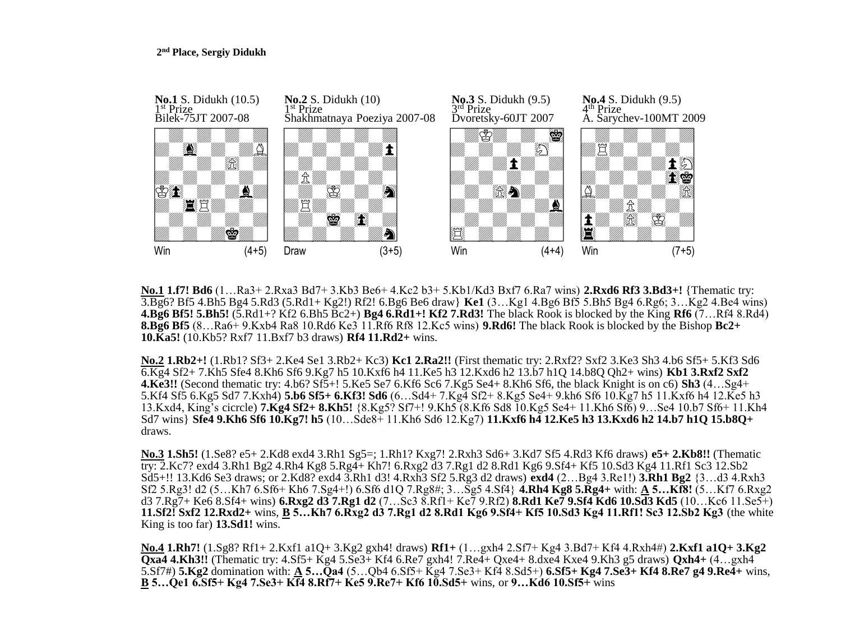

**No.1 1.f7! Bd6** (1…Ra3+ 2.Rxa3 Bd7+ 3.Kb3 Be6+ 4.Kc2 b3+ 5.Kb1/Kd3 Bxf7 6.Ra7 wins) **2.Rxd6 Rf3 3.Bd3+!** {Thematic try: 3.Bg6? Bf5 4.Bh5 Bg4 5.Rd3 (5.Rd1+ Kg2!) Rf2! 6.Bg6 Be6 draw} **Ke1** (3…Kg1 4.Bg6 Bf5 5.Bh5 Bg4 6.Rg6; 3…Kg2 4.Be4 wins) **4.Bg6 Bf5! 5.Bh5!** (5.Rd1+? Kf2 6.Bh5 Bc2+) **Bg4 6.Rd1+! Kf2 7.Rd3!** The black Rook is blocked by the King **Rf6** (7…Rf4 8.Rd4) **8.Bg6 Bf5** (8…Ra6+ 9.Kxb4 Ra8 10.Rd6 Ke3 11.Rf6 Rf8 12.Kc5 wins) **9.Rd6!** The black Rook is blocked by the Bishop **Bc2+ 10.Ka5!** (10.Kb5? Rxf7 11.Bxf7 b3 draws) **Rf4 11.Rd2+** wins.

**No.2 1.Rb2+!** (1.Rb1? Sf3+ 2.Ke4 Se1 3.Rb2+ Kc3) **Kc1 2.Ra2!!** (First thematic try: 2.Rxf2? Sxf2 3.Ke3 Sh3 4.b6 Sf5+ 5.Kf3 Sd6 6.Kg4 Sf2+ 7.Kh5 Sfe4 8.Kh6 Sf6 9.Kg7 h5 10.Kxf6 h4 11.Ke5 h3 12.Kxd6 h2 13.b7 h1Q 14.b8Q Qh2+ wins) **Kb1 3.Rxf2 Sxf2 4.Ke3!!** (Second thematic try: 4.b6? Sf5+! 5.Ke5 Se7 6.Kf6 Sc6 7.Kg5 Se4+ 8.Kh6 Sf6, the black Knight is on c6) **Sh3** (4…Sg4+ 5.Kf4 Sf5 6.Kg5 Sd7 7.Kxh4) **5.b6 Sf5+ 6.Kf3! Sd6** (6…Sd4+ 7.Kg4 Sf2+ 8.Kg5 Se4+ 9.kh6 Sf6 10.Kg7 h5 11.Kxf6 h4 12.Ke5 h3 13.Kxd4, King's cicrcle) **7.Kg4 Sf2+ 8.Kh5!** {8.Kg5? Sf7+! 9.Kh5 (8.Kf6 Sd8 10.Kg5 Se4+ 11.Kh6 Sf6) 9…Se4 10.b7 Sf6+ 11.Kh4 Sd7 wins} **Sfe4 9.Kh6 Sf6 10.Kg7! h5** (10…Sde8+ 11.Kh6 Sd6 12.Kg7) **11.Kxf6 h4 12.Ke5 h3 13.Kxd6 h2 14.b7 h1Q 15.b8Q+**  draws.

**No.3 1.Sh5!** (1.Se8? e5+ 2.Kd8 exd4 3.Rh1 Sg5=; 1.Rh1? Kxg7! 2.Rxh3 Sd6+ 3.Kd7 Sf5 4.Rd3 Kf6 draws) **e5+ 2.Kb8!!** (Thematic try: 2.Kc7? exd4 3.Rh1 Bg2 4.Rh4 Kg8 5.Rg4+ Kh7! 6.Rxg2 d3 7.Rg1 d2 8.Rd1 Kg6 9.Sf4+ Kf5 10.Sd3 Kg4 11.Rf1 Sc3 12.Sb2 Sd5+!! 13.Kd6 Se3 draws; or 2.Kd8? exd4 3.Rh1 d3! 4.Rxh3 Sf2 5.Rg3 d2 draws) **exd4** (2…Bg4 3.Re1!) **3.Rh1 Bg2** {3…d3 4.Rxh3 Sf2 5.Rg3! d2 (5…Kh7 6.Sf6+ Kh6 7.Sg4+!) 6.Sf6 d1Q 7.Rg8#; 3…Sg5 4.Sf4} **4.Rh4 Kg8 5.Rg4+** with: **A 5…Kf8!** (5…Kf7 6.Rxg2 d3 7.Rg7+ Ke6 8.Sf4+ wins) **6.Rxg2 d3 7.Rg1 d2** (7…Sc3 8.Rf1+ Ke7 9.Rf2) **8.Rd1 Ke7 9.Sf4 Kd6 10.Sd3 Kd5** (10…Kc6 11.Se5+) **11.Sf2! Sxf2 12.Rxd2+** wins, **B 5…Kh7 6.Rxg2 d3 7.Rg1 d2 8.Rd1 Kg6 9.Sf4+ Kf5 10.Sd3 Kg4 11.Rf1! Sc3 12.Sb2 Kg3** (the white King is too far) **13.Sd1!** wins.

**No.4 1.Rh7!** (1.Sg8? Rf1+ 2.Kxf1 a1Q+ 3.Kg2 gxh4! draws) **Rf1+** (1…gxh4 2.Sf7+ Kg4 3.Bd7+ Kf4 4.Rxh4#) **2.Kxf1 a1Q+ 3.Kg2 Qxa4 4.Kh3!!** (Thematic try: 4.Sf5+ Kg4 5.Se3+ Kf4 6.Re7 gxh4! 7.Re4+ Qxe4+ 8.dxe4 Kxe4 9.Kh3 g5 draws) **Qxh4+** (4…gxh4 5.Sf7#) **5.Kg2** domination with: **A 5…Qa4** (5…Qb4 6.Sf5+ Kg4 7.Se3+ Kf4 8.Sd5+) **6.Sf5+ Kg4 7.Se3+ Kf4 8.Re7 g4 9.Re4+** wins, **B 5…Qe1 6.Sf5+ Kg4 7.Se3+ Kf4 8.Rf7+ Ke5 9.Re7+ Kf6 10.Sd5+** wins, or **9…Kd6 10.Sf5+** wins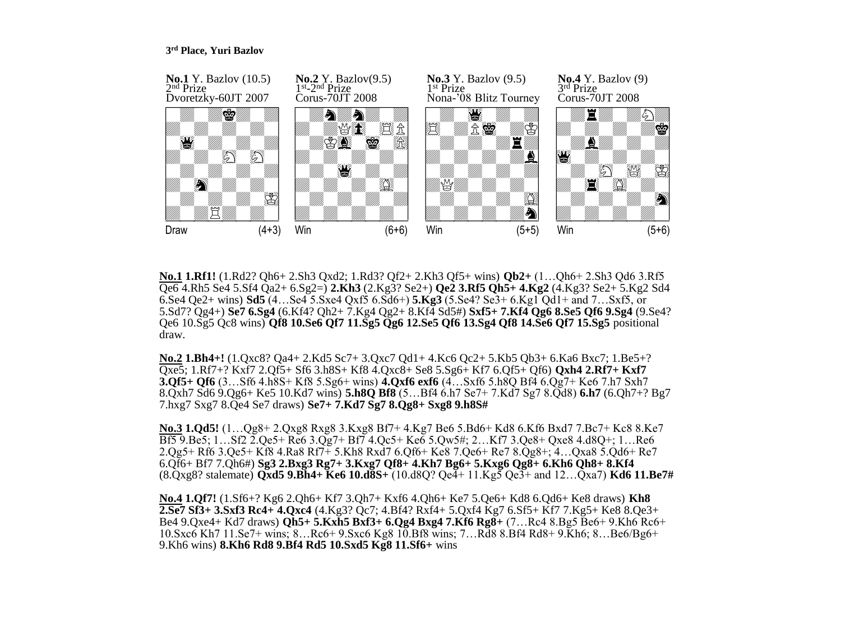### **3 rd Place, Yuri Bazlov**



**No.1 1.Rf1!** (1.Rd2? Qh6+ 2.Sh3 Qxd2; 1.Rd3? Qf2+ 2.Kh3 Qf5+ wins) **Qb2+** (1…Qh6+ 2.Sh3 Qd6 3.Rf5 Qe6 4.Rh5 Se4 5.Sf4 Qa2+ 6.Sg2=) **2.Kh3** (2.Kg3? Se2+) **Qe2 3.Rf5 Qh5+ 4.Kg2** (4.Kg3? Se2+ 5.Kg2 Sd4 6.Se4 Qe2+ wins) **Sd5** (4…Se4 5.Sxe4 Qxf5 6.Sd6+) **5.Kg3** (5.Se4? Se3+ 6.Kg1 Qd1+ and 7…Sxf5, or 5.Sd7? Qg4+) **Se7 6.Sg4** (6.Kf4? Qh2+ 7.Kg4 Qg2+ 8.Kf4 Sd5#) **Sxf5+ 7.Kf4 Qg6 8.Se5 Qf6 9.Sg4** (9.Se4? Qe6 10.Sg5 Qc8 wins) **Qf8 10.Se6 Qf7 11.Sg5 Qg6 12.Se5 Qf6 13.Sg4 Qf8 14.Se6 Qf7 15.Sg5** positional draw.

**No.2 1.Bh4+!** (1.Qxc8? Qa4+ 2.Kd5 Sc7+ 3.Qxc7 Qd1+ 4.Kc6 Qc2+ 5.Kb5 Qb3+ 6.Ka6 Bxc7; 1.Be5+? Qxe5; 1.Rf7+? Kxf7 2.Qf5+ Sf6 3.h8S+ Kf8 4.Qxc8+ Se8 5.Sg6+ Kf7 6.Qf5+ Qf6) **Qxh4 2.Rf7+ Kxf7 3.Qf5+ Qf6** (3…Sf6 4.h8S+ Kf8 5.Sg6+ wins) **4.Qxf6 exf6** (4…Sxf6 5.h8Q Bf4 6.Qg7+ Ke6 7.h7 Sxh7 8.Qxh7 Sd6 9.Qg6+ Ke5 10.Kd7 wins) **5.h8Q Bf8** (5…Bf4 6.h7 Se7+ 7.Kd7 Sg7 8.Qd8) **6.h7** (6.Qh7+? Bg7 7.hxg7 Sxg7 8.Qe4 Se7 draws) **Se7+ 7.Kd7 Sg7 8.Qg8+ Sxg8 9.h8S#**

**No.3 1.Qd5!** (1…Qg8+ 2.Qxg8 Rxg8 3.Kxg8 Bf7+ 4.Kg7 Be6 5.Bd6+ Kd8 6.Kf6 Bxd7 7.Bc7+ Kc8 8.Ke7 Bf5 9.Be5; 1…Sf2 2.Qe5+ Re6 3.Qg7+ Bf7 4.Qc5+ Ke6 5.Qw5#; 2…Kf7 3.Qe8+ Qxe8 4.d8Q+; 1…Re6 2.Qg5+ Rf6 3.Qe5+ Kf8 4.Ra8 Rf7+ 5.Kh8 Rxd7 6.Qf6+ Ke8 7.Qe6+ Re7 8.Qg8+; 4…Qxa8 5.Qd6+ Re7 6.Qf6+ Bf7 7.Qh6#) **Sg3 2.Bxg3 Rg7+ 3.Kxg7 Qf8+ 4.Kh7 Bg6+ 5.Kxg6 Qg8+ 6.Kh6 Qh8+ 8.Kf4**  (8.Qxg8? stalemate) **Qxd5 9.Bh4+ Ke6 10.d8S+** (10.d8Q? Qe4+ 11.Kg5 Qe3+ and 12…Qxa7) **Kd6 11.Be7#**

**No.4 1.Qf7!** (1.Sf6+? Kg6 2.Qh6+ Kf7 3.Qh7+ Kxf6 4.Qh6+ Ke7 5.Qe6+ Kd8 6.Qd6+ Ke8 draws) **Kh8 2.Se7 Sf3+ 3.Sxf3 Rc4+ 4.Qxc4** (4.Kg3? Qc7; 4.Bf4? Rxf4+ 5.Qxf4 Kg7 6.Sf5+ Kf7 7.Kg5+ Ke8 8.Qe3+ Be4 9.Qxe4+ Kd7 draws) **Qh5+ 5.Kxh5 Bxf3+ 6.Qg4 Bxg4 7.Kf6 Rg8+** (7…Rc4 8.Bg5 Be6+ 9.Kh6 Rc6+ 10.Sxc6 Kh7 11.Se7+ wins; 8…Rc6+ 9.Sxc6 Kg8 10.Bf8 wins; 7…Rd8 8.Bf4 Rd8+ 9.Kh6; 8…Be6/Bg6+ 9.Kh6 wins) **8.Kh6 Rd8 9.Bf4 Rd5 10.Sxd5 Kg8 11.Sf6+** wins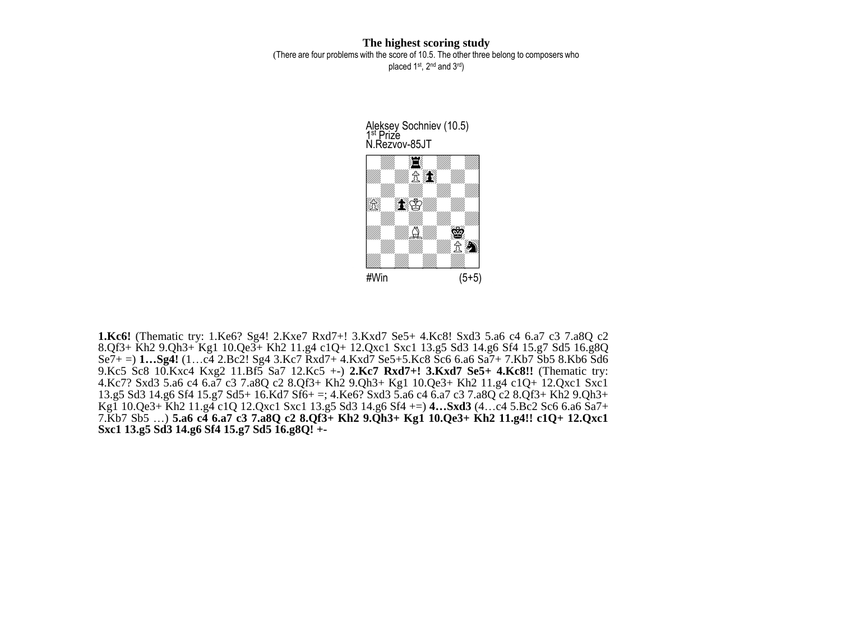**The highest scoring study** (There are four problems with the score of 10.5. The other three belong to composers who placed 1<sup>st</sup>, 2<sup>nd</sup> and 3<sup>rd</sup>)

> W\_\_\_\_\_\_\_\_w Aleksey Sochniev (10.5) 1 st Prize N.Rezvov-85JT



**1.Kc6!** (Thematic try: 1.Ke6? Sg4! 2.Kxe7 Rxd7+! 3.Kxd7 Se5+ 4.Kc8! Sxd3 5.a6 c4 6.a7 c3 7.a8Q c2 8.Qf3+ Kh2 9.Qh3+ Kg1 10.Qe3+ Kh2 11.g4 c1Q+ 12.Qxc1 Sxc1 13.g5 Sd3 14.g6 Sf4 15.g7 Sd5 16.g8Q Se7+ =) **1…Sg4!** (1…c4 2.Bc2! Sg4 3.Kc7 Rxd7+ 4.Kxd7 Se5+5.Kc8 Sc6 6.a6 Sa7+ 7.Kb7 Sb5 8.Kb6 Sd6 9.Kc5 Sc8 10.Kxc4 Kxg2 11.Bf5 Sa7 12.Kc5 +-) **2.Kc7 Rxd7+! 3.Kxd7 Se5+ 4.Kc8!!** (Thematic try: 4.Kc7? Sxd3 5.a6 c4 6.a7 c3 7.a8Q c2 8.Qf3+ Kh2 9.Qh3+ Kg1 10.Qe3+ Kh2 11.g4 c1Q+ 12.Qxc1 Sxc1 13.g5 Sd3 14.g6 Sf4 15.g7 Sd5+ 16.Kd7 Sf6+ =; 4.Ke6? Sxd3 5.a6 c4 6.a7 c3 7.a8Q c2 8.Qf3+ Kh2 9.Qh3+ Kg1 10.Qe3+ Kh2 11.g4 c1Q 12.Qxc1 Sxc1 13.g5 Sd3 14.g6 Sf4 +=) **4…Sxd3** (4…c4 5.Bc2 Sc6 6.a6 Sa7+ 7.Kb7 Sb5 …) **5.a6 c4 6.a7 c3 7.a8Q c2 8.Qf3+ Kh2 9.Qh3+ Kg1 10.Qe3+ Kh2 11.g4!! c1Q+ 12.Qxc1 Sxc1 13.g5 Sd3 14.g6 Sf4 15.g7 Sd5 16.g8Q! +-**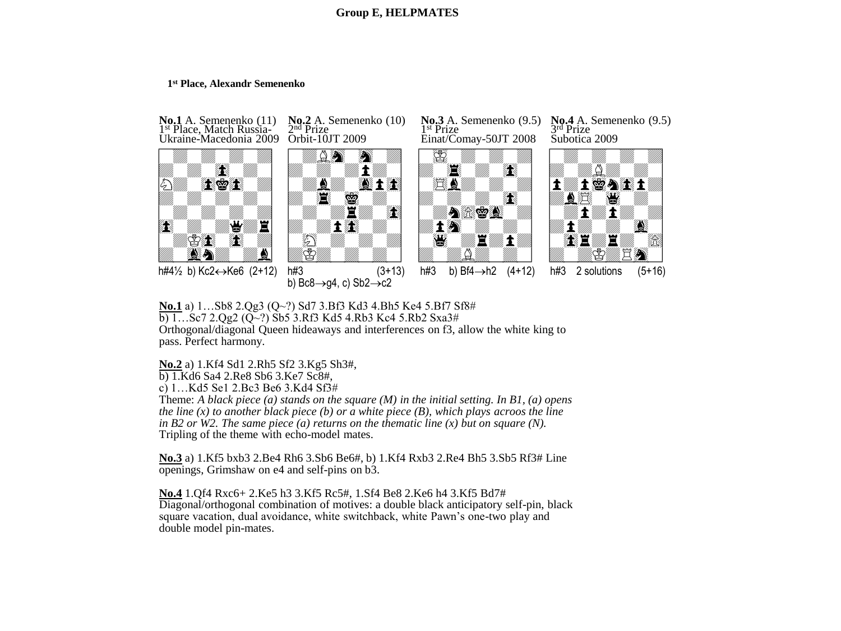# **Group E, HELPMATES**

### **1 st Place, Alexandr Semenenko**



**No.1** a) 1…Sb8 2.Qg3 (Q~?) Sd7 3.Bf3 Kd3 4.Bh5 Ke4 5.Bf7 Sf8# b) 1…Sc7 2.Qg2 (Q~?) Sb5 3.Rf3 Kd5 4.Rb3 Kc4 5.Rb2 Sxa3# Orthogonal/diagonal Queen hideaways and interferences on f3, allow the white king to pass. Perfect harmony.

**No.2** a) 1.Kf4 Sd1 2.Rh5 Sf2 3.Kg5 Sh3#,

b) 1.Kd6 Sa4 2.Re8 Sb6 3.Ke7 Sc8#,

c) 1…Kd5 Se1 2.Bc3 Be6 3.Kd4 Sf3#

Theme: *A black piece (a) stands on the square (M) in the initial setting. In B1, (a) opens the line (x) to another black piece (b) or a white piece (B), which plays acroos the line in B2 or W2. The same piece (a) returns on the thematic line (x) but on square (N).*  Tripling of the theme with echo-model mates.

**No.3** a) 1.Kf5 bxb3 2.Be4 Rh6 3.Sb6 Be6#, b) 1.Kf4 Rxb3 2.Re4 Bh5 3.Sb5 Rf3# Line openings, Grimshaw on e4 and self-pins on b3.

**No.4** 1.Qf4 Rxc6+ 2.Ke5 h3 3.Kf5 Rc5#, 1.Sf4 Be8 2.Ke6 h4 3.Kf5 Bd7# Diagonal/orthogonal combination of motives: a double black anticipatory self-pin, black square vacation, dual avoidance, white switchback, white Pawn's one-two play and double model pin-mates.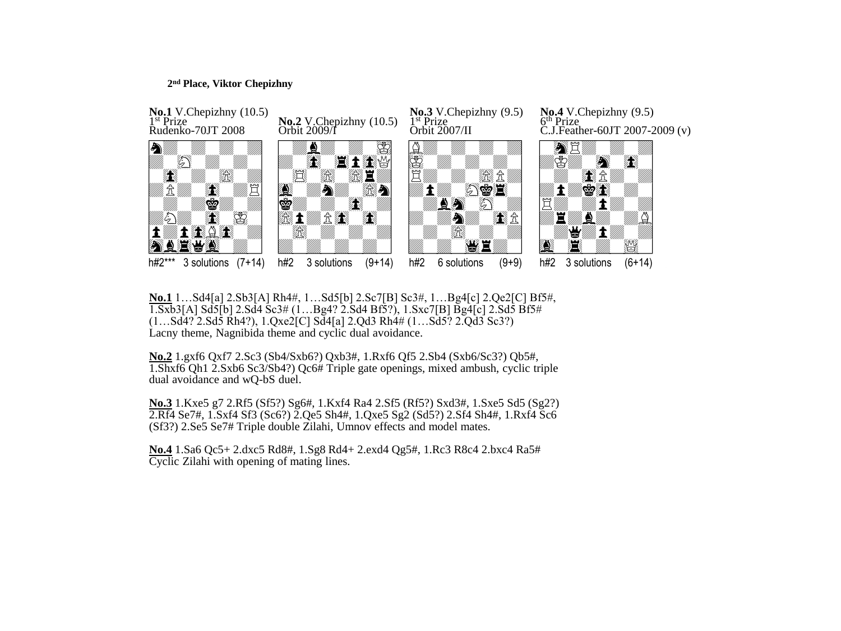### **2 nd Place, Viktor Chepizhny**



**No.1** 1…Sd4[a] 2.Sb3[A] Rh4#, 1…Sd5[b] 2.Sc7[B] Sc3#, 1…Bg4[c] 2.Qe2[C] Bf5#, 1.Sxb3[A] Sd5[b] 2.Sd4 Sc3# (1…Bg4? 2.Sd4 Bf5?), 1.Sxc7[B] Bg4[c] 2.Sd5 Bf5#  $(1...Sd\bar{4}\cdot\bar{2}.Sd\bar{5}R\bar{4}4\cdot\bar{2})$ ,  $1.Qxe\bar{2}[C]S\bar{d}4[a]2.Qd3Rh\bar{4}\#(1...Sd\bar{5}\cdot\bar{2}Z\bar{Q}d\bar{3}Sc\bar{3}\cdot\bar{2})$ Lacny theme, Nagnibida theme and cyclic dual avoidance.

**No.2** 1.gxf6 Qxf7 2.Sc3 (Sb4/Sxb6?) Qxb3#, 1.Rxf6 Qf5 2.Sb4 (Sxb6/Sc3?) Qb5#, 1.Shxf6 Qh1 2.Sxb6 Sc3/Sb4?) Qc6# Triple gate openings, mixed ambush, cyclic triple dual avoidance and wQ-bS duel.

**No.3** 1.Kxe5 g7 2.Rf5 (Sf5?) Sg6#, 1.Kxf4 Ra4 2.Sf5 (Rf5?) Sxd3#, 1.Sxe5 Sd5 (Sg2?) 2.Rf4 Se7#, 1.Sxf4 Sf3 (Sc6?) 2.Qe5 Sh4#, 1.Qxe5 Sg2 (Sd5?) 2.Sf4 Sh4#, 1.Rxf4 Sc6 (Sf3?) 2.Se5 Se7# Triple double Zilahi, Umnov effects and model mates.

**No.4** 1.Sa6 Qc5+ 2.dxc5 Rd8#, 1.Sg8 Rd4+ 2.exd4 Qg5#, 1.Rc3 R8c4 2.bxc4 Ra5# Cyclic Zilahi with opening of mating lines.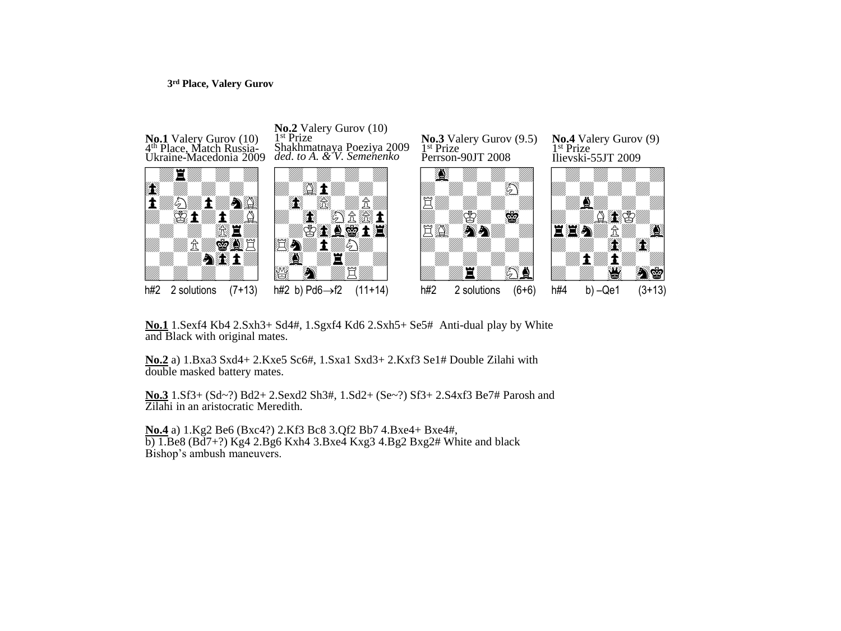#### **3 rd Place, Valery Gurov**



**No.1** 1.Sexf4 Kb4 2.Sxh3+ Sd4#, 1.Sgxf4 Kd6 2.Sxh5+ Se5#Anti-dual play by White and Black with original mates.

**No.2** a) 1.Bxa3 Sxd4+ 2.Kxe5 Sc6#, 1.Sxa1 Sxd3+ 2.Kxf3 Se1# Double Zilahi with double masked battery mates.

**No.3** 1.Sf3+ (Sd~?) Bd2+ 2.Sexd2 Sh3#, 1.Sd2+ (Se~?) Sf3+ 2.S4xf3 Be7# Parosh and Zilahi in an aristocratic Meredith.

**No.4** a) 1.Kg2 Be6 (Bxc4?) 2.Kf3 Bc8 3.Qf2 Bb7 4.Bxe4+ Bxe4#,  $\overline{b}$ ) 1.Be8 (Bd7+?) Kg4 2.Bg6 Kxh4 3.Bxe4 Kxg3 4.Bg2 Bxg2# White and black Bishop's ambush maneuvers.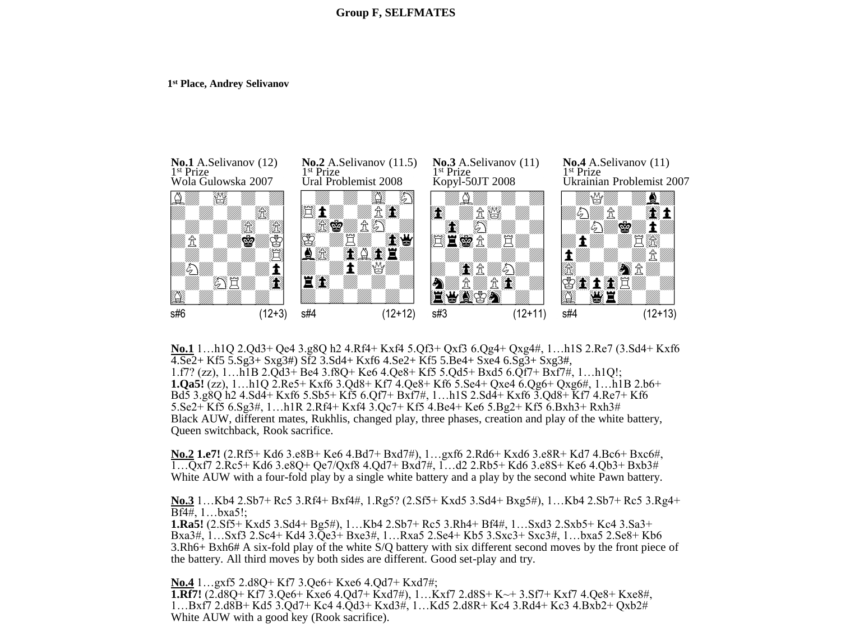#### **1 st Place, Andrey Selivanov**



**No.1** 1…h1Q 2.Qd3+ Qe4 3.g8Q h2 4.Rf4+ Kxf4 5.Qf3+ Qxf3 6.Qg4+ Qxg4#, 1…h1S 2.Re7 (3.Sd4+ Kxf6 4.Se2+ Kf5 5.Sg3+ Sxg3#) Sf2 3.Sd4+ Kxf6 4.Se2+ Kf5 5.Be4+ Sxe4 6.Sg3+ Sxg3#, 1.f7? (zz), 1…h1B 2.Qd3+ Be4 3.f8Q+ Ke6 4.Qe8+ Kf5 5.Qd5+ Bxd5 6.Qf7+ Bxf7#, 1…h1Q!; **1.Qa5!** (zz), 1…h1Q 2.Re5+ Kxf6 3.Qd8+ Kf7 4.Qe8+ Kf6 5.Se4+ Qxe4 6.Qg6+ Qxg6#, 1…h1B 2.b6+ Bd5 3.g8Q h2 4.Sd4+ Kxf6 5.Sb5+ Kf5 6.Qf7+ Bxf7#, 1…h1S 2.Sd4+ Kxf6 3.Qd8+ Kf7 4.Re7+ Kf6 5.Se2+ Kf5 6.Sg3#, 1…h1R 2.Rf4+ Kxf4 3.Qc7+ Kf5 4.Be4+ Ke6 5.Bg2+ Kf5 6.Bxh3+ Rxh3# Black AUW, different mates, Rukhlis, changed play, three phases, creation and play of the white battery, Queen switchback, Rook sacrifice.

**No.2 1.e7!** (2.Rf5+ Kd6 3.e8B+ Ke6 4.Bd7+ Bxd7#), 1…gxf6 2.Rd6+ Kxd6 3.e8R+ Kd7 4.Bc6+ Bxc6#, 1…Qxf7 2.Rc5+ Kd6 3.e8Q+ Qe7/Qxf8 4.Qd7+ Bxd7#, 1…d2 2.Rb5+ Kd6 3.e8S+ Ke6 4.Qb3+ Bxb3# White AUW with a four-fold play by a single white battery and a play by the second white Pawn battery.

**No.3** 1…Kb4 2.Sb7+ Rc5 3.Rf4+ Bxf4#, 1.Rg5? (2.Sf5+ Kxd5 3.Sd4+ Bxg5#), 1…Kb4 2.Sb7+ Rc5 3.Rg4+ Bf4#, 1…bxa5!;

**1.Ra5!** (2.Sf5+ Kxd5 3.Sd4+ Bg5#), 1…Kb4 2.Sb7+ Rc5 3.Rh4+ Bf4#, 1…Sxd3 2.Sxb5+ Kc4 3.Sa3+ Bxa3#, 1…Sxf3 2.Sc4+ Kd4 3.Qe3+ Bxe3#, 1…Rxa5 2.Se4+ Kb5 3.Sxc3+ Sxc3#, 1…bxa5 2.Se8+ Kb6 3.Rh6+ Bxh6# A six-fold play of the white S/Q battery with six different second moves by the front piece of the battery. All third moves by both sides are different. Good set-play and try.

**No.4** 1…gxf5 2.d8Q+ Kf7 3.Qe6+ Kxe6 4.Qd7+ Kxd7#; **1.Rf7!** (2.d8Q+ Kf7 3.Qe6+ Kxe6 4.Qd7+ Kxd7#), 1…Kxf7 2.d8S+ K~+ 3.Sf7+ Kxf7 4.Qe8+ Kxe8#, 1…Bxf7 2.d8B+ Kd5 3.Qd7+ Kc4 4.Qd3+ Kxd3#, 1…Kd5 2.d8R+ Kc4 3.Rd4+ Kc3 4.Bxb2+ Qxb2# White AUW with a good key (Rook sacrifice).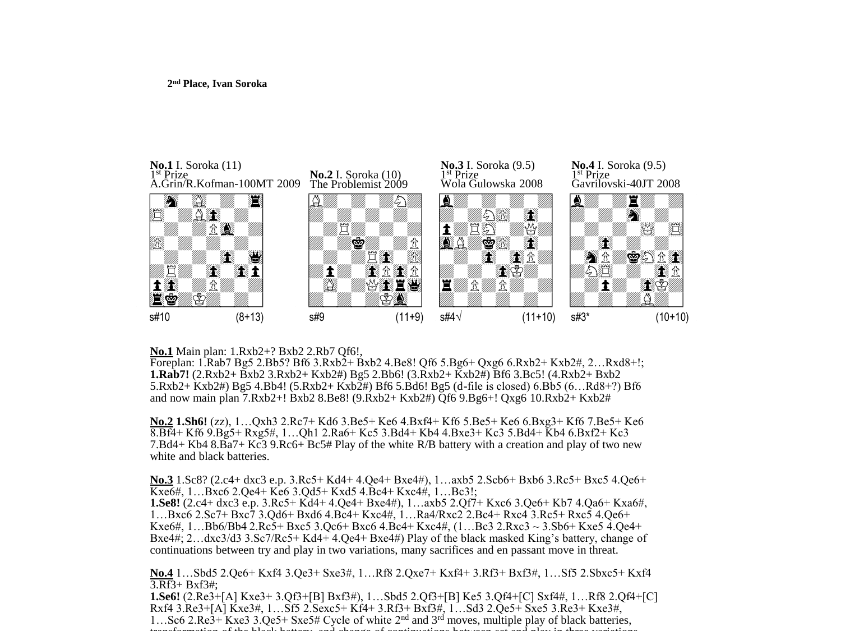

**No.1** Main plan: 1.Rxb2+? Bxb2 2.Rb7 Qf6!,

Foreplan: 1.Rab7 Bg5 2.Bb5? Bf6 3.Rxb2+ Bxb2 4.Be8! Qf6 5.Bg6+ Qxg6 6.Rxb2+ Kxb2#, 2…Rxd8+!; **1.Rab7!** (2.Rxb2+ Bxb2 3.Rxb2+ Kxb2#) Bg5 2.Bb6! (3.Rxb2+ Kxb2#) Bf6 3.Bc5! (4.Rxb2+ Bxb2 5.Rxb2+ Kxb2#) Bg5 4.Bb4! (5.Rxb2+ Kxb2#) Bf6 5.Bd6! Bg5 (d-file is closed) 6.Bb5 (6…Rd8+?) Bf6 and now main plan 7.Rxb2+! Bxb2 8.Be8! (9.Rxb2+ Kxb2#) Qf6 9.Bg6+! Qxg6 10.Rxb2+ Kxb2#

**No.2 1.Sh6!** (zz), 1…Qxh3 2.Rc7+ Kd6 3.Be5+ Ke6 4.Bxf4+ Kf6 5.Be5+ Ke6 6.Bxg3+ Kf6 7.Be5+ Ke6 8.Bf4+ Kf6 9.Bg5+ Rxg5#, 1…Qh1 2.Ra6+ Kc5 3.Bd4+ Kb4 4.Bxe3+ Kc3 5.Bd4+ Kb4 6.Bxf2+ Kc3 7.Bd4+ Kb4 8.Ba7+ Kc3 9.Rc6+ Bc5# Play of the white R/B battery with a creation and play of two new white and black batteries.

**No.3** 1.Sc8? (2.c4+ dxc3 e.p. 3.Rc5+ Kd4+ 4.Qe4+ Bxe4#), 1…axb5 2.Scb6+ Bxb6 3.Rc5+ Bxc5 4.Qe6+ Kxe6#, 1…Bxc6 2.Qe4+ Ke6 3.Qd5+ Kxd5 4.Bc4+ Kxc4#, 1…Bc3!; **1.Se8!** (2.c4+ dxc3 e.p. 3.Rc5+ Kd4+ 4.Qe4+ Bxe4#), 1…axb5 2.Qf7+ Kxc6 3.Qe6+ Kb7 4.Qa6+ Kxa6#, 1…Bxc6 2.Sc7+ Bxc7 3.Qd6+ Bxd6 4.Bc4+ Kxc4#, 1…Ra4/Rxc2 2.Bc4+ Rxc4 3.Rc5+ Rxc5 4.Qe6+ Kxe6#, 1…Bb6/Bb4 2.Rc5+ Bxc5 3.Qc6+ Bxc6 4.Bc4+ Kxc4#, (1…Bc3 2.Rxc3 ~ 3.Sb6+ Kxe5 4.Qe4+ Bxe4#; 2…dxc3/d3 3.Sc7/Rc5+ Kd4+ 4.Qe4+ Bxe4#) Play of the black masked King's battery, change of

**No.4** 1…Sbd5 2.Qe6+ Kxf4 3.Qe3+ Sxe3#, 1…Rf8 2.Qxe7+ Kxf4+ 3.Rf3+ Bxf3#, 1…Sf5 2.Sbxc5+ Kxf4

continuations between try and play in two variations, many sacrifices and en passant move in threat.

3.Rf3+ Bxf3#; **1.Se6!** (2.Re3+[A] Kxe3+ 3.Qf3+[B] Bxf3#), 1…Sbd5 2.Qf3+[B] Ke5 3.Qf4+[C] Sxf4#, 1…Rf8 2.Qf4+[C] Rxf4 3.Re3+[A] Kxe3#, 1…Sf5 2.Sexc5+ Kf4+ 3.Rf3+ Bxf3#, 1…Sd3 2.Qe5+ Sxe5 3.Re3+ Kxe3#, 1…Sc6 2.Re3+ Kxe3 3.Qe5+ Sxe5# Cycle of white 2nd and 3rd moves, multiple play of black batteries, transformation of the black battery, and change of continuations between set and play in the variations between  $\mathbf{r}_i$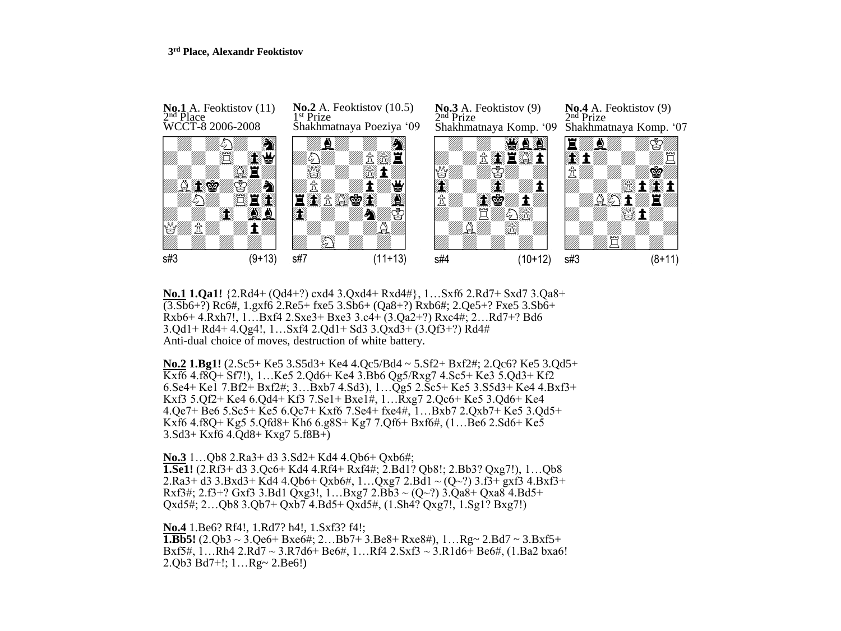#### **3 rd Place, Alexandr Feoktistov**



**No.1 1.Qa1!** {2.Rd4+ (Qd4+?) cxd4 3.Qxd4+ Rxd4#}, 1…Sxf6 2.Rd7+ Sxd7 3.Qa8+ (3.Sb6+?) Rc6#, 1.gxf6 2.Re5+ fxe5 3.Sb6+ (Qa8+?) Rxb6#; 2.Qe5+? Fxe5 3.Sb6+ Rxb6+ 4.Rxh7!, 1…Bxf4 2.Sxe3+ Bxe3 3.c4+ (3.Qa2+?) Rxc4#; 2…Rd7+? Bd6 3.Qd1+ Rd4+ 4.Qg4!, 1…Sxf4 2.Qd1+ Sd3 3.Qxd3+ (3.Qf3+?) Rd4# Anti-dual choice of moves, destruction of white battery.

**No.2 1.Bg1!** (2.Sc5+ Ke5 3.S5d3+ Ke4 4.Qc5/Bd4 ~ 5.Sf2+ Bxf2#; 2.Qc6? Ke5 3.Qd5+ Kxf6 4.f8Q+ Sf7!), 1…Ke5 2.Qd6+ Ke4 3.Bb6 Qg5/Rxg7 4.Sc5+ Ke3 5.Qd3+ Kf2 6.Se4+ Ke1 7.Bf2+ Bxf2#; 3…Bxb7 4.Sd3), 1…Qg5 2.Sc5+ Ke5 3.S5d3+ Ke4 4.Bxf3+ Kxf3 5.Qf2+ Ke4 6.Qd4+ Kf3 7.Se1+ Bxe1#, 1…Rxg7 2.Qc6+ Ke5 3.Qd6+ Ke4 4.Qe7+ Be6 5.Sc5+ Ke5 6.Qc7+ Kxf6 7.Se4+ fxe4#, 1…Bxb7 2.Qxb7+ Ke5 3.Qd5+ Kxf6 4.f8Q+ Kg5 5.Qfd8+ Kh6 6.g8S+ Kg7 7.Qf6+ Bxf6#, (1…Be6 2.Sd6+ Ke5 3.Sd3+ Kxf6 4.Qd8+ Kxg7 5.f8B+)

**No.3** 1…Qb8 2.Ra3+ d3 3.Sd2+ Kd4 4.Qb6+ Qxb6#; **1.Se1!** (2.Rf3+ d3 3.Qc6+ Kd4 4.Rf4+ Rxf4#; 2.Bd1? Qb8!; 2.Bb3? Qxg7!), 1…Qb8 2.Ra3+ d3 3.Bxd3+ Kd4 4.Qb6+ Qxb6#, 1...Qxg7 2.Bd1  $\sim$  (Q $\sim$ ?) 3.f3+ gxf3 4.Bxf3+ Rxf3#; 2.f3+? Gxf3 3.Bd1 Oxg3!, 1...Bxg7 2.Bb3 ~ (O~?) 3.Qa8+ Qxa8 4.Bd5+ Qxd5#; 2…Qb8 3.Qb7+ Qxb7 4.Bd5+ Qxd5#, (1.Sh4? Qxg7!, 1.Sg1? Bxg7!)

**No.4** 1.Be6? Rf4!, 1.Rd7? h4!, 1.Sxf3? f4!; **1.Bb5!**  $(2.Qb3 \sim 3.Qe6 + Bxe6\#; 2...Bb7 + 3.Be8 + Rxe8\#), 1...Rg \sim 2.Bd7 \sim 3.Bxf5 +$ Bxf5#, 1…Rh4 2.Rd7 ~ 3.R7d6+ Be6#, 1…Rf4 2.Sxf3 ~ 3.R1d6+ Be6#, (1.Ba2 bxa6! 2.Qb3 Bd7+!; 1…Rg~ 2.Be6!)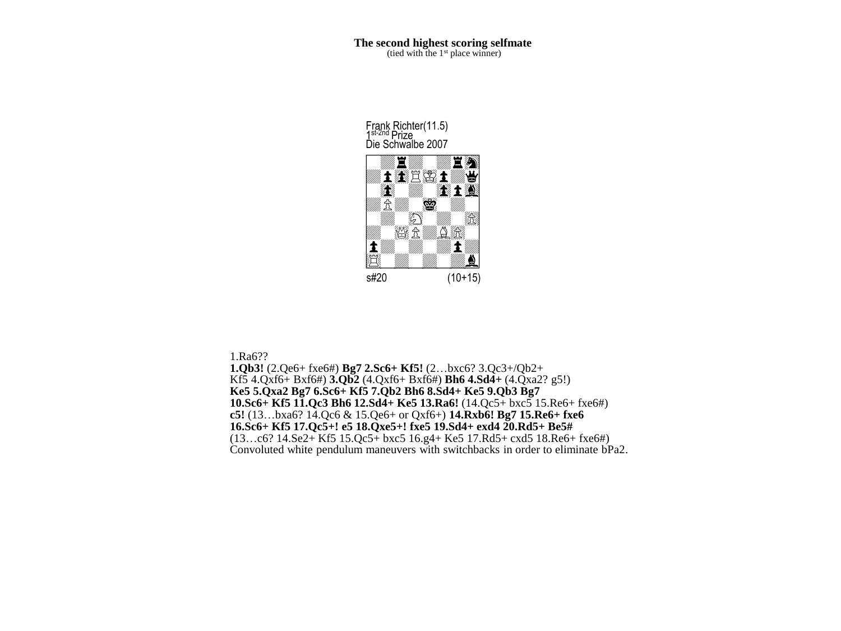Frank Richter(11.5) 1<sup>st-2nd</sup> Prize<br>Die Schwalbe 2007



1.Ra6?? **1.Qb3!** (2.Qe6+ fxe6#) **Bg7 2.Sc6+ Kf5!** (2…bxc6? 3.Qc3+/Qb2+ Kf5 4.Qxf6+ Bxf6#) **3.Qb2** (4.Qxf6+ Bxf6#) **Bh6 4.Sd4+** (4.Qxa2? g5!) **Ke5 5.Qxa2 Bg7 6.Sc6+ Kf5 7.Qb2 Bh6 8.Sd4+ Ke5 9.Qb3 Bg7 10.Sc6+ Kf5 11.Qc3 Bh6 12.Sd4+ Ke5 13.Ra6!** (14.Qc5+ bxc5 15.Re6+ fxe6#) **c5!** (13…bxa6? 14.Qc6 & 15.Qe6+ or Qxf6+) **14.Rxb6! Bg7 15.Re6+ fxe6 16.Sc6+ Kf5 17.Qc5+! e5 18.Qxe5+! fxe5 19.Sd4+ exd4 20.Rd5+ Be5#** (13…c6? 14.Se2+ Kf5 15.Qc5+ bxc5 16.g4+ Ke5 17.Rd5+ cxd5 18.Re6+ fxe6#) Convoluted white pendulum maneuvers with switchbacks in order to eliminate bPa2.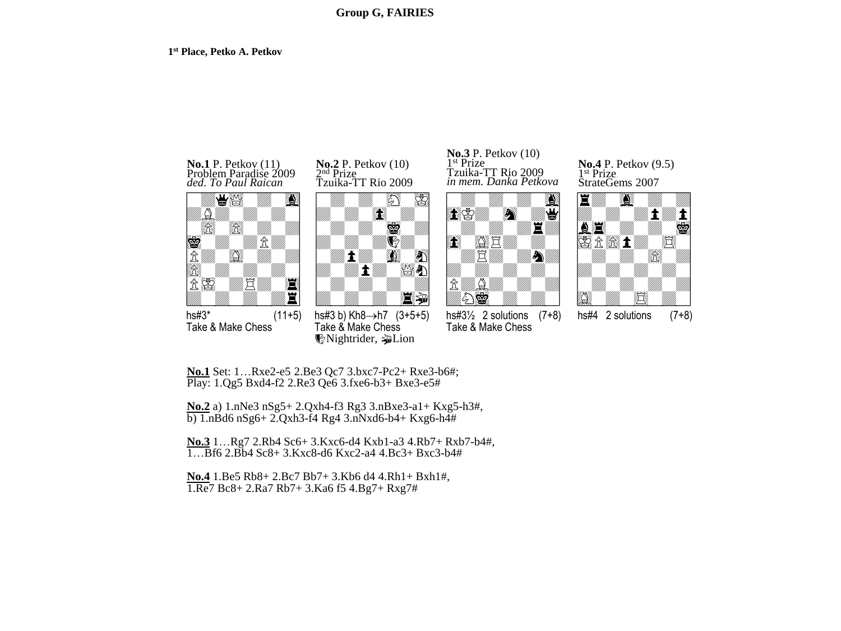#### **1 st Place, Petko A. Petkov**





 $\frac{1}{\text{hs}\#3^*}$  (11+5) Take & Make Chess





 $h$ s#3 b) Kh8 $\rightarrow$ h7 (3+5+5) Take & Make Chess **W**Nightrider, **p**Lion

in mem. Danka Petkova **No.3** P. Petkov (10) 1 st Prize Tzuika-TT Rio 2009



 $hs#3\frac{1}{2}$  2 solutions  $(7+8)$ Take & Make Chess

StrateGems 2007 **No.4** P. Petkov (9.5) 1 st Prize



 $hs#4$  2 solutions  $(7+8)$ 

**No.1** Set: 1…Rxe2-e5 2.Be3 Qc7 3.bxc7-Pc2+ Rxe3-b6#; Play: 1.Qg5 Bxd4-f2 2.Re3 Qe6 3.fxe6-b3+ Bxe3-e5#

**No.2** a) 1.nNe3 nSg5+ 2.Qxh4-f3 Rg3 3.nBxe3-a1+ Kxg5-h3#,  $b)$  1.nBd6 nSg6+ 2.Qxh3-f4 Rg4 3.nNxd6-b4+ Kxg6-h4#

**No.3** 1…Rg7 2.Rb4 Sc6+ 3.Kxc6-d4 Kxb1-a3 4.Rb7+ Rxb7-b4#, 1…Bf6 2.Bb4 Sc8+ 3.Kxc8-d6 Kxc2-a4 4.Bc3+ Bxc3-b4#

**No.4** 1.Be5 Rb8+ 2.Bc7 Bb7+ 3.Kb6 d4 4.Rh1+ Bxh1#, 1.Re7 Bc8+ 2.Ra7 Rb7+ 3.Ka6 f5 4.Bg7+ Rxg7#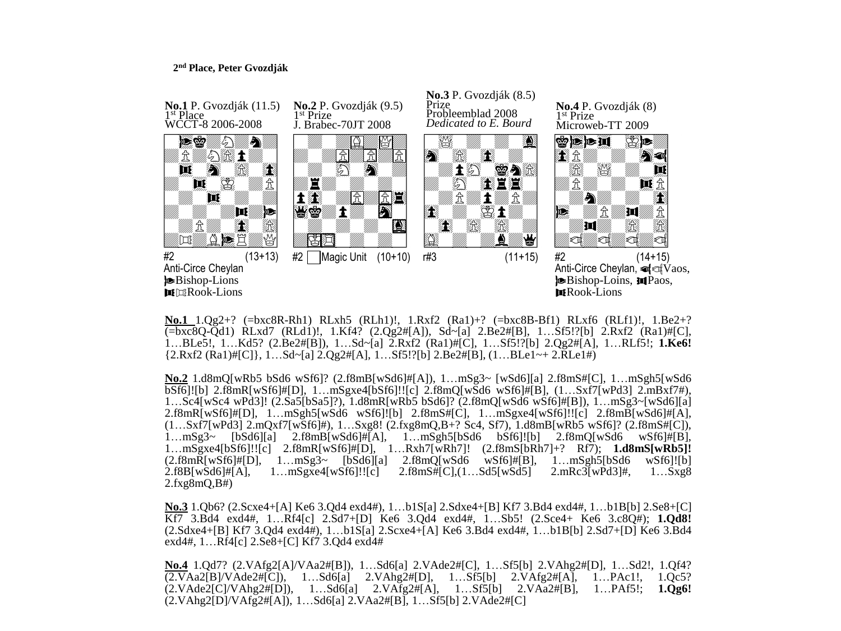## **2 nd Place, Peter Gvozdják**



**No.1** 1.Qg2+? (=bxc8R-Rh1) RLxh5 (RLh1)!, 1.Rxf2 (Ra1)+? (=bxc8B-Bf1) RLxf6 (RLf1)!, 1.Be2+? (=bxc8Q-Qd1) RLxd7 (RLd1)!, 1.Kf4? (2.Qg2#[A]), Sd~[a] 2.Be2#[B], 1…Sf5!?[b] 2.Rxf2 (Ra1)#[C], 1…BLe5!, 1…Kd5? (2.Be2#[B]), 1…Sd~[a] 2.Rxf2 (Ra1)#[C], 1…Sf5!?[b] 2.Qg2#[A], 1…RLf5!; **1.Ke6!**  ${2.Rxf2 (Ra1) \#[C]}, 1... Sd-[a12.0g2 \#[A], 1... Sf5!]$ [b]  $2.Be2 \#[B], (1...BLe1 \rightarrow 2.RLe1 \#)$ 

**No.2** 1.d8mQ[wRb5 bSd6 wSf6]? (2.f8mB[wSd6]#[A]), 1…mSg3~ [wSd6][a] 2.f8mS#[C], 1…mSgh5[wSd6 bSf6]![b] 2.f8mR[wSf6]#[D], 1…mSgxe4[bSf6]!![c] 2.f8mQ[wSd6 wSf6]#[B], (1…Sxf7[wPd3] 2.mBxf7#), 1…Sc4[wSc4 wPd3]! (2.Sa5[bSa5]?), 1.d8mR[wRb5 bSd6]? (2.f8mQ[wSd6 wSf6]#[B]), 1…mSg3~[wSd6][a] 2.f8mR[wSf6]#[D], 1…mSgh5[wSd6 wSf6]![b] 2.f8mS#[C], 1…mSgxe4[wSf6]!![c] 2.f8mB[wSd6]#[A], (1…Sxf7[wPd3] 2.mQxf7[wSf6]#), 1…Sxg8! (2.fxg8mQ,B+? Sc4, Sf7), 1.d8mB[wRb5 wSf6]? (2.f8mS#[C]), 1...mSg3~ [bSd6][a] 2.f8mB[wSd6]#[A], 1...mSgh5[bSd6 bSf6]![b] 2.f8mQ[wSd6 wSf6]#[B], 1…mSgxe4[bSf6]!![c] 2.f8mR[wSf6]#[D], 1…Rxh7[wRh7]! (2.f8mS[bRh7]+? Rf7); **1.d8mS[wRb5]!**  $(2.58 \text{mR}[wSf6] \# [D], \quad 1... \text{mSg3} \sim [bSd6][a] \quad 2.58 \text{mQ}[wSd6 \quad wSf6] \# [B], \quad 1... \text{mSgh5}[bSd6 \quad wSf6]! [b]$ 2.f8B[wSd6]#[A], 1…mSgxe4[wSf6]!![c] 2.f8mS#[C],(1…Sd5[wSd5] 2.mRc3[wPd3]#, 1…Sxg8 2.fxg8mQ,B#)

**No.3** 1.Qb6? (2.Scxe4+[A] Ke6 3.Qd4 exd4#), 1…b1S[a] 2.Sdxe4+[B] Kf7 3.Bd4 exd4#, 1…b1B[b] 2.Se8+[C] Kf7 3.Bd4 exd4#, 1…Rf4[c] 2.Sd7+[D] Ke6 3.Qd4 exd4#, 1…Sb5! (2.Sce4+ Ke6 3.c8Q#); **1.Qd8!** (2.Sdxe4+[B] Kf7 3.Qd4 exd4#), 1…b1S[a] 2.Scxe4+[A] Ke6 3.Bd4 exd4#, 1…b1B[b] 2.Sd7+[D] Ke6 3.Bd4 exd4#, 1…Rf4[c] 2.Se8+[C] Kf7 3.Qd4 exd4#

**No.4** 1.Qd7? (2.VAfg2[A]/VAa2#[B]), 1…Sd6[a] 2.VAde2#[C], 1…Sf5[b] 2.VAhg2#[D], 1…Sd2!, 1.Qf4? (2.VAa2[B]/VAde2#[C]), 1…Sd6[a] 2.VAhg2#[D], 1…Sf5[b] 2.VAfg2#[A], 1…PAc1!, 1.Qc5? (2.VAde2[C]/VAhg2#[D]), 1…Sd6[a] 2.VAfg2#[A], 1…Sf5[b] 2.VAa2#[B], 1…PAf5!; **1.Qg6!** (2.VAhg2[D]/VAfg2#[A]), 1…Sd6[a] 2.VAa2#[B], 1…Sf5[b] 2.VAde2#[C]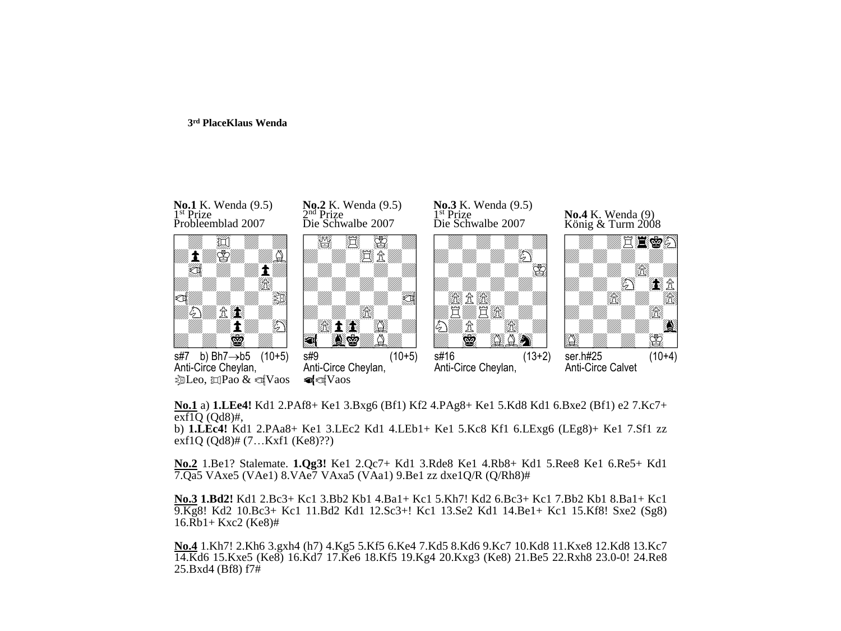#### **3 rd PlaceKlaus Wenda**



**No.1** a) **1.LEe4!** Kd1 2.PAf8+ Ke1 3.Bxg6 (Bf1) Kf2 4.PAg8+ Ke1 5.Kd8 Kd1 6.Bxe2 (Bf1) e2 7.Kc7+ exf1Q (Qd8)#,

b) **1.LEc4!** Kd1 2.PAa8+ Ke1 3.LEc2 Kd1 4.LEb1+ Ke1 5.Kc8 Kf1 6.LExg6 (LEg8)+ Ke1 7.Sf1 zz exf1Q (Qd8)# (7…Kxf1 (Ke8)??)

**No.2** 1.Be1? Stalemate. **1.Qg3!** Ke1 2.Qc7+ Kd1 3.Rde8 Ke1 4.Rb8+ Kd1 5.Ree8 Ke1 6.Re5+ Kd1 7.Qa5 VAxe5 (VAe1) 8.VAe7 VAxa5 (VAa1) 9.Be1 zz dxe1Q/R (Q/Rh8)#

**No.3 1.Bd2!** Kd1 2.Bc3+ Kc1 3.Bb2 Kb1 4.Ba1+ Kc1 5.Kh7! Kd2 6.Bc3+ Kc1 7.Bb2 Kb1 8.Ba1+ Kc1 9.Kg8! Kd2 10.Bc3+ Kc1 11.Bd2 Kd1 12.Sc3+! Kc1 13.Se2 Kd1 14.Be1+ Kc1 15.Kf8! Sxe2 (Sg8) 16.Rb1+ Kxc2 (Ke8)#

**No.4** 1.Kh7! 2.Kh6 3.gxh4 (h7) 4.Kg5 5.Kf5 6.Ke4 7.Kd5 8.Kd6 9.Kc7 10.Kd8 11.Kxe8 12.Kd8 13.Kc7 14.Kd6 15.Kxe5 (Ke8) 16.Kd7 17.Ke6 18.Kf5 19.Kg4 20.Kxg3 (Ke8) 21.Be5 22.Rxh8 23.0-0! 24.Re8 25.Bxd4 (Bf8) f7#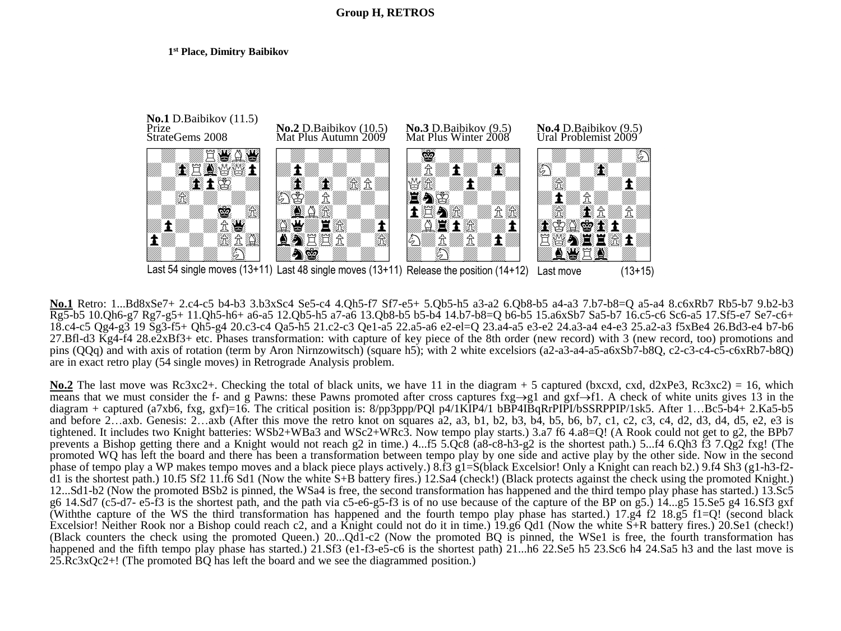### **1 st Place, Dimitry Baibikov**



**No.1** Retro: 1...Bd8xSe7+ 2.c4-c5 b4-b3 3.b3xSc4 Se5-c4 4.Qh5-f7 Sf7-e5+ 5.Qb5-h5 a3-a2 6.Qb8-b5 a4-a3 7.b7-b8=Q a5-a4 8.c6xRb7 Rb5-b7 9.b2-b3 Rg5-b5 10.Qh6-g7 Rg7-g5+ 11.Qh5-h6+ a6-a5 12.Qb5-h5 a7-a6 13.Qb8-b5 b5-b4 14.b7-b8=Q b6-b5 15.a6xSb7 Sa5-b7 16.c5-c6 Sc6-a5 17.Sf5-e7 Se7-c6+ 18.c4-c5 Qg4-g3 19 Sg3-f5+ Qh5-g4 20.c3-c4 Qa5-h5 21.c2-c3 Qe1-a5 22.a5-a6 e2-el=Q 23.a4-a5 e3-e2 24.a3-a4 e4-e3 25.a2-a3 f5xBe4 26.Bd3-e4 b7-b6 27.Bfl-d3 Kg4-f4 28.e2xBf3+ etc. Phases transformation: with capture of key piece of the 8th order (new record) with 3 (new record, too) promotions and pins (QQq) and with axis of rotation (term by Aron Nirnzowitsch) (square h5); with 2 white excelsiors (a2-a3-a4-a5-a6xSb7-b8Q, c2-c3-c4-c5-c6xRb7-b8Q) are in exact retro play (54 single moves) in Retrograde Analysis problem.

**No.2** The last move was Rc3xc2+. Checking the total of black units, we have 11 in the diagram + 5 captured (bxcxd, cxd, d2xPe3, Rc3xc2) = 16, which means that we must consider the f- and g Pawns: these Pawns promoted after cross captures fxg $\rightarrow$ g1 and gxf $\rightarrow$ f1. A check of white units gives 13 in the diagram + captured (a7xb6, fxg, gxf)=16. The critical position is: 8/pp3ppp/PQl p4/1KIP4/1 bBP4IBqRrPIPI/bSSRPPIP/1sk5. After 1…Bc5-b4+ 2.Ka5-b5 and before 2...axb. Genesis:  $2...$ axb (After this move the retro knot on squares a $2,$  a $3,$  b $1,$  b $2,$  b $3,$  b $4,$  b $5,$  b $6,$  b $7,$  c $1,$  c $2,$  c $3,$  c $4,$  d $2,$  d $3,$  d $4,$  d $5,$  e $2,$  e $3$  is tightened. It includes two Knight batteries: WSb2+WBa3 and WSc2+WRc3. Now tempo play starts.) 3.a7 f6 4.a8=Q! (A Rook could not get to g2, the BPb7 prevents a Bishop getting there and a Knight would not reach g2 in time.) 4...f5 5.Qc8 (a8-c8-h3-g2 is the shortest path.) 5...f4 6.Qh3 f3 7.Qg2 fxg! (The promoted WQ has left the board and there has been a transformation between tempo play by one side and active play by the other side. Now in the second phase of tempo play a WP makes tempo moves and a black piece plays actively.)  $8.\hat{f}3 \hat{g}1 = S(\hat{b}lack$  Excelsior! Only a Knight can reach b2.) 9.f4 Sh3 (g1-h3-f2d1 is the shortest path.) 10.f5 Sf2 11.f6 Sd1 (Now the white S+B battery fires.) 12.Sa4 (check!) (Black protects against the check using the promoted Knight.) 12...Sd1-b2 (Now the promoted BSb2 is pinned, the WSa4 is free, the second transformation has happened and the third tempo play phase has started.) 13.Sc5 g6 14.Sd7 (c5-d7- e5-f3 is the shortest path, and the path via c5-e6-g5-f3 is of no use because of the capture of the BP on g5.) 14...g5 15.Se5 g4 16.Sf3 gxf (Withthe capture of the WS the third transformation has happened and the fourth tempo play phase has started.) 17.g4 f2 18.g5 f1=Q! (second black Excelsior! Neither Rook nor a Bishop could reach c2, and a Knight could not do it in time.) 19.g6 Qd1 (Now the white  $\overline{S}$ +R battery fires.) 20.Se1 (check!) (Black counters the check using the promoted Queen.) 20...Qd1-c2 (Now the promoted BQ is pinned, the WSe1 is free, the fourth transformation has happened and the fifth tempo play phase has started.) 21.Sf3 (e1-f3-e5-c6 is the shortest path) 21...h6 22.Se5 h5 23.Sc6 h4 24.Sa5 h3 and the last move is 25.Rc3xQc2+! (The promoted BQ has left the board and we see the diagrammed position.)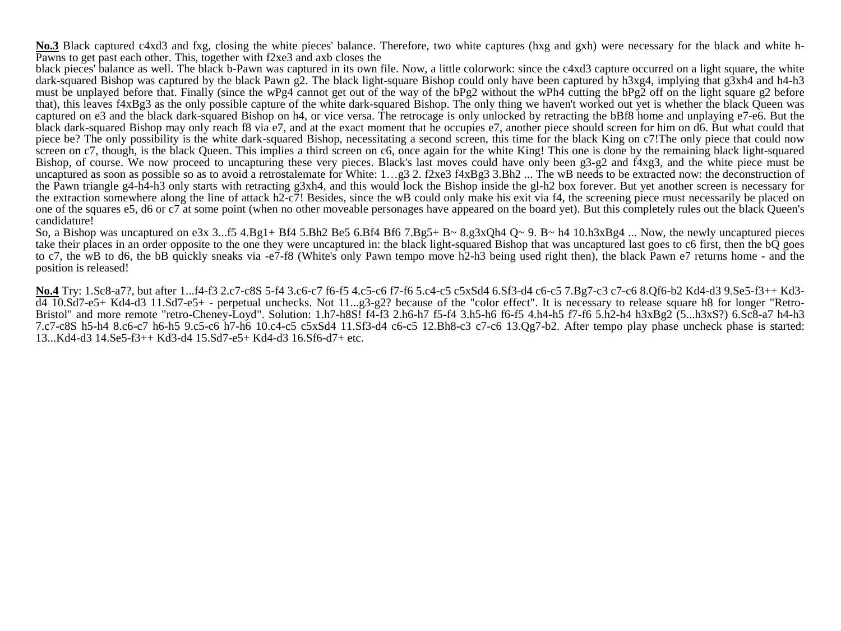**No.3** Black captured c4xd3 and fxg, closing the white pieces' balance. Therefore, two white captures (hxg and gxh) were necessary for the black and white h-Pawns to get past each other. This, together with f2xe3 and axb closes the

black pieces' balance as well. The black b-Pawn was captured in its own file. Now, a little colorwork: since the c4xd3 capture occurred on a light square, the white dark-squared Bishop was captured by the black Pawn g2. The black light-square Bishop could only have been captured by h3xg4, implying that g3xh4 and h4-h3 must be unplayed before that. Finally (since the wPg4 cannot get out of the way of the bPg2 without the wPh4 cutting the bPg2 off on the light square g2 before that), this leaves f4xBg3 as the only possible capture of the white dark-squared Bishop. The only thing we haven't worked out yet is whether the black Queen was captured on e3 and the black dark-squared Bishop on h4, or vice versa. The retrocage is only unlocked by retracting the bBf8 home and unplaying e7-e6. But the black dark-squared Bishop may only reach f8 via e7, and at the exact moment that he occupies e7, another piece should screen for him on d6. But what could that piece be? The only possibility is the white dark-squared Bishop, necessitating a second screen, this time for the black King on c7!The only piece that could now screen on c7, though, is the black Queen. This implies a third screen on c6, once again for the white King! This one is done by the remaining black light-squared Bishop, of course. We now proceed to uncapturing these very pieces. Black's last moves could have only been g3-g2 and f4xg3, and the white piece must be uncaptured as soon as possible so as to avoid a retrostalemate for White: 1...g3 2. f2xe3 f4xBg3 3.Bh2 ... The wB needs to be extracted now: the deconstruction of the Pawn triangle g4-h4-h3 only starts with retracting g3xh4, and this would lock the Bishop inside the gl-h2 box forever. But yet another screen is necessary for the extraction somewhere along the line of attack h2-c7! Besides, since the wB could only make his exit via f4, the screening piece must necessarily be placed on one of the squares e5, d6 or c7 at some point (when no other moveable personages have appeared on the board yet). But this completely rules out the black Queen's candidature!

So, a Bishop was uncaptured on e3x 3...f5 4.Bg1+ Bf4 5.Bh2 Be5 6.Bf4 Bf6 7.Bg5+ B~ 8.g3xQh4 Q~ 9. B~ h4 10.h3xBg4 ... Now, the newly uncaptured pieces take their places in an order opposite to the one they were uncaptured in: the black light-squared Bishop that was uncaptured last goes to c6 first, then the bQ goes to c7, the wB to d6, the bB quickly sneaks via -e7-f8 (White's only Pawn tempo move h2-h3 being used right then), the black Pawn e7 returns home - and the position is released!

**No.4** Try: 1.Sc8-a7?, but after 1...f4-f3 2.c7-c8S 5-f4 3.c6-c7 f6-f5 4.c5-c6 f7-f6 5.c4-c5 c5xSd4 6.Sf3-d4 c6-c5 7.Bg7-c3 c7-c6 8.Qf6-b2 Kd4-d3 9.Se5-f3++ Kd3-  $\overline{d4}$  10.Sd7-e5+ Kd4-d3 11.Sd7-e5+ - perpetual unchecks. Not 11...g3-g2? because of the "color effect". It is necessary to release square h8 for longer "Retro-Bristol" and more remote "retro-Cheney-Loyd". Solution: 1.h7-h8S! f4-f3 2.h6-h7 f5-f4 3.h5-h6 f6-f5 4.h4-h5 f7-f6 5.h2-h4 h3xBg2 (5...h3xS?) 6.Sc8-a7 h4-h3 7.c7-c8S h5-h4 8.c6-c7 h6-h5 9.c5-c6 h7-h6 10.c4-c5 c5xSd4 11.Sf3-d4 c6-c5 12.Bh8-c3 c7-c6 13.Qg7-b2. After tempo play phase uncheck phase is started: 13...Kd4-d3 14.Se5-f3++ Kd3-d4 15.Sd7-e5+ Kd4-d3 16.Sf6-d7+ etc.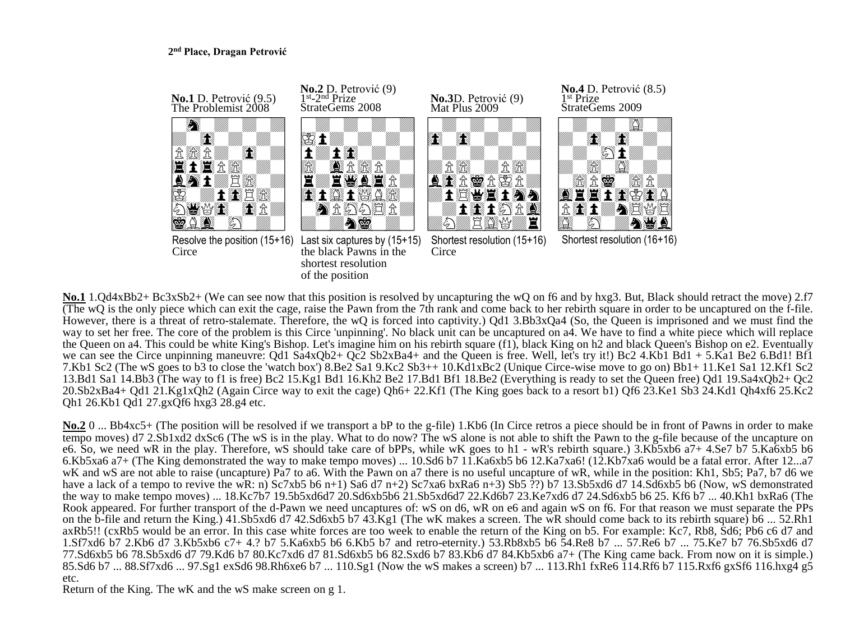# **2 nd Place, Dragan Petrović**



**No.1** 1.Qd4xBb2+ Bc3xSb2+ (We can see now that this position is resolved by uncapturing the wQ on f6 and by hxg3. But, Black should retract the move) 2.f7 (The wQ is the only piece which can exit the cage, raise the Pawn from the 7th rank and come back to her rebirth square in order to be uncaptured on the f-file. However, there is a threat of retro-stalemate. Therefore, the wQ is forced into captivity.) Qd1 3.Bb3xQa4 (So, the Queen is imprisoned and we must find the way to set her free. The core of the problem is this Circe 'unpinning'. No black unit can be uncaptured on a4. We have to find a white piece which will replace the Queen on a4. This could be white King's Bishop. Let's imagine him on his rebirth square (f1), black King on h2 and black Queen's Bishop on e2. Eventually we can see the Circe unpinning maneuvre: Qd1 Sa4xQb2+ Qc2 Sb2xBa4+ and the Queen is free. Well, let's try it!) Bc2 4.Kb1 Bd1 + 5.Ka1 Be2 6.Bd1! Bf1 7.Kb1 Sc2 (The wS goes to b3 to close the 'watch box') 8.Be2 Sa1 9.Kc2 Sb3++ 10.Kd1xBc2 (Unique Circe-wise move to go on) Bb1+ 11.Ke1 Sa1 12.Kf1 Sc2 13.Bd1 Sa1 14.Bb3 (The way to f1 is free) Bc2 15.Kg1 Bd1 16.Kh2 Be2 17.Bd1 Bf1 18.Be2 (Everything is ready to set the Queen free) Qd1 19.Sa4xQb2+ Qc2 20.Sb2xBa4+ Qd1 21.Kg1xQh2 (Again Circe way to exit the cage) Qh6+ 22.Kf1 (The King goes back to a resort b1) Qf6 23.Ke1 Sb3 24.Kd1 Qh4xf6 25.Kc2 Qh1 26.Kb1 Qd1 27.gxQf6 hxg3 28.g4 etc.

**No.2** 0 ... Bb4xc5+ (The position will be resolved if we transport a bP to the g-file) 1.Kb6 (In Circe retros a piece should be in front of Pawns in order to make tempo moves) d7 2.Sb1xd2 dxSc6 (The wS is in the play. What to do now? The wS alone is not able to shift the Pawn to the g-file because of the uncapture on e6. So, we need wR in the play. Therefore, wS should take care of bPPs, while wK goes to h1 - wR's rebirth square.) 3.Kb5xb6 a7+ 4.Se7 b7 5.Ka6xb5 b6 6.Kb5xa6 a7+ (The King demonstrated the way to make tempo moves) ... 10.Sd6 b7 11.Ka6xb5 b6 12.Ka7xa6! (12.Kb7xa6 would be a fatal error. After 12...a7 wK and wS are not able to raise (uncapture) Pa7 to a6. With the Pawn on a7 there is no useful uncapture of wR, while in the position: Kh1, Sb5; Pa7, b7 d6 we have a lack of a tempo to revive the wR: n) Sc7xb5 b6 n+1) Sa6 d7 n+2) Sc7xa6 bxRa6 n+3) Sb5 ??) b7 13.Sb5xd6 d7 14.Sd6xb5 b6 (Now, wS demonstrated the way to make tempo moves) ... 18.Kc7b7 19.5b5xd6d7 20.Sd6xb5b6 21.Sb5xd6d7 22.Kd6b7 23.Ke7xd6 d7 24.Sd6xb5 b6 25. Kf6 b7 ... 40.Kh1 bxRa6 (The Rook appeared. For further transport of the d-Pawn we need uncaptures of: wS on d6, wR on e6 and again wS on f6. For that reason we must separate the PPs on the b-file and return the King.) 41.Sb5xd6 d7 42.Sd6xb5 b7 43.Kg1 (The wK makes a screen. The wR should come back to its rebirth square) b6 ... 52.Rh1 axRb5!! (cxRb5 would be an error. In this case white forces are too week to enable the return of the King on b5. For example: Kc7, Rb8, Sd6; Pb6 c6 d7 and 1.Sf7xd6 b7 2.Kb6 d7 3.Kb5xb6 c7+ 4.? b7 5.Ka6xb5 b6 6.Kb5 b7 and retro-eternity.) 53.Rb8xb5 b6 54.Re8 b7 ... 57.Re6 b7 ... 75.Ke7 b7 76.Sb5xd6 d7 77.Sd6xb5 b6 78.Sb5xd6 d7 79.Kd6 b7 80.Kc7xd6 d7 81.Sd6xb5 b6 82.Sxd6 b7 83.Kb6 d7 84.Kb5xb6 a7+ (The King came back. From now on it is simple.) 85.Sd6 b7 ... 88.Sf7xd6 ... 97.Sg1 exSd6 98.Rh6xe6 b7 ... 110.Sg1 (Now the wS makes a screen) b7 ... 113.Rh1 fxRe6 114.Rf6 b7 115.Rxf6 gxSf6 116.hxg4 g5 etc.

Return of the King. The wK and the wS make screen on g 1.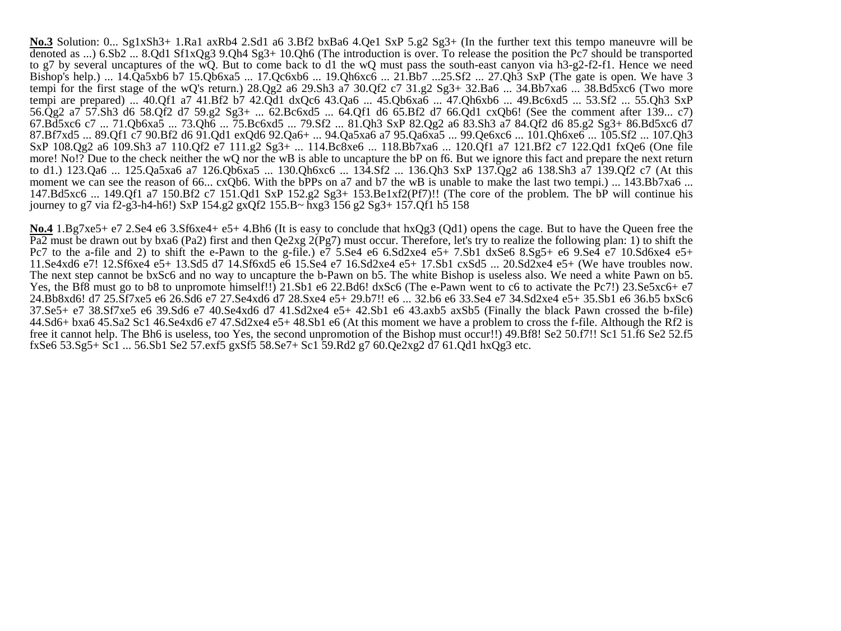**No.3** Solution: 0... Sg1xSh3+ 1.Ra1 axRb4 2.Sd1 a6 3.Bf2 bxBa6 4.Qe1 SxP 5.g2 Sg3+ (In the further text this tempo maneuvre will be denoted as ...) 6.Sb2 ... 8.Qd1 Sf1xQg3 9.Qh4 Sg3+ 10.Qh6 (The introduction is over. To release the position the Pc7 should be transported to g7 by several uncaptures of the wQ. But to come back to d1 the wQ must pass the south-east canyon via h3-g2-f2-f1. Hence we need Bishop's help.) ... 14.Qa5xb6 b7 15.Qb6xa5 ... 17.Qc6xb6 ... 19.Qh6xc6 ... 21.Bb7 ...25.Sf2 ... 27.Qh3 SxP (The gate is open. We have 3 tempi for the first stage of the wQ's return.) 28.Qg2 a6 29.Sh3 a7 30.Qf2 c7 31.g2 Sg3+ 32.Ba6 ... 34.Bb7xa6 ... 38.Bd5xc6 (Two more tempi are prepared) ... 40.Qf1 a7 41.Bf2 b7 42.Qd1 dxQc6 43.Qa6 ... 45.Qb6xa6 ... 47.Qh6xb6 ... 49.Bc6xd5 ... 53.Sf2 ... 55.Qh3 SxP 56.Qg2 a7 57.Sh3 d6 58.Qf2 d7 59.g2 Sg3+ ... 62.Bc6xd5 ... 64.Qf1 d6 65.Bf2 d7 66.Qd1 cxQb6! (See the comment after 139... c7) 67.Bd5xc6 c7 ... 71.Qb6xa5 ... 73.Qh6 ... 75.Bc6xd5 ... 79.Sf2 ... 81.Qh3 SxP 82.Qg2 a6 83.Sh3 a7 84.Qf2 d6 85.g2 Sg3+ 86.Bd5xc6 d7 87.Bf7xd5 ... 89.Qf1 c7 90.Bf2 d6 91.Qd1 exQd6 92.Qa6+ ... 94.Qa5xa6 a7 95.Qa6xa5 ... 99.Qe6xc6 ... 101.Qh6xe6 ... 105.Sf2 ... 107.Qh3 SxP 108.Qg2 a6 109.Sh3 a7 110.Qf2 e7 111.g2 Sg3+ ... 114.Bc8xe6 ... 118.Bb7xa6 ... 120.Qf1 a7 121.Bf2 c7 122.Qd1 fxQe6 (One file more! No!? Due to the check neither the wQ nor the wB is able to uncapture the bP on f6. But we ignore this fact and prepare the next return to d1.) 123.Qa6 ... 125.Qa5xa6 a7 126.Qb6xa5 ... 130.Qh6xc6 ... 134.Sf2 ... 136.Qh3 SxP 137.Qg2 a6 138.Sh3 a7 139.Qf2 c7 (At this moment we can see the reason of 66... cxQb6. With the bPPs on a7 and b7 the wB is unable to make the last two tempi.) ... 143.Bb7xa6 ... 147.Bd5xc6 ... 149.Qf1 a7 150.Bf2 c7 151.Qd1 SxP 152.g2 Sg3+ 153.Be1xf2(Pf7)!! (The core of the problem. The bP will continue his journey to g7 via f2-g3-h4-h6!) SxP 154.g2 gxQf2 155.B~ hxg3 156 g2 Sg3+ 157.Qf1 h5 158

**No.4** 1.Bg7xe5+ e7 2.Se4 e6 3.Sf6xe4+ e5+ 4.Bh6 (It is easy to conclude that hxQg3 (Qd1) opens the cage. But to have the Queen free the Pa2 must be drawn out by bxa6 (Pa2) first and then Qe2xg 2(Pg7) must occur. Therefore, let's try to realize the following plan: 1) to shift the Pc7 to the a-file and 2) to shift the e-Pawn to the g-file.)  $e^7$  5.Se4 e6 6.Sd2xe4 e5+ 7.Sb1 dxSe6 8.Sg5+ e6 9.Se4 e7 10.Sd6xe4 e5+ 11.Se4xd6 e7! 12.Sf6xe4 e5+ 13.Sd5 d7 14.Sf6xd5 e6 15.Se4 e7 16.Sd2xe4 e5+ 17.Sb1 cxSd5 ... 20.Sd2xe4 e5+ (We have troubles now. The next step cannot be bxSc6 and no way to uncapture the b-Pawn on b5. The white Bishop is useless also. We need a white Pawn on b5. Yes, the Bf8 must go to b8 to unpromote himself!!) 21.Sb1 e6 22.Bd6! dxSc6 (The e-Pawn went to c6 to activate the Pc7!) 23.Se5xc6+ e7 24.Bb8xd6! d7 25.Sf7xe5 e6 26.Sd6 e7 27.Se4xd6 d7 28.Sxe4 e5+ 29.b7!! e6 ... 32.b6 e6 33.Se4 e7 34.Sd2xe4 e5+ 35.Sb1 e6 36.b5 bxSc6 37.Se5+ e7 38.Sf7xe5 e6 39.Sd6 e7 40.Se4xd6 d7 41.Sd2xe4 e5+ 42.Sb1 e6 43.axb5 axSb5 (Finally the black Pawn crossed the b-file) 44.Sd6+ bxa6 45.Sa2 Sc1 46.Se4xd6 e7 47.Sd2xe4 e5+ 48.Sb1 e6 (At this moment we have a problem to cross the f-file. Although the Rf2 is free it cannot help. The Bh6 is useless, too Yes, the second unpromotion of the Bishop must occur!!) 49.Bf8! Se2 50.f7!! Sc1 51.f6 Se2 52.f5 fxSe6 53.Sg5+ Sc1 ... 56.Sb1 Se2 57.exf5 gxSf5 58.Se7+ Sc1 59.Rd2 g7 60.Qe2xg2 d7 61.Qd1 hxQg3 etc.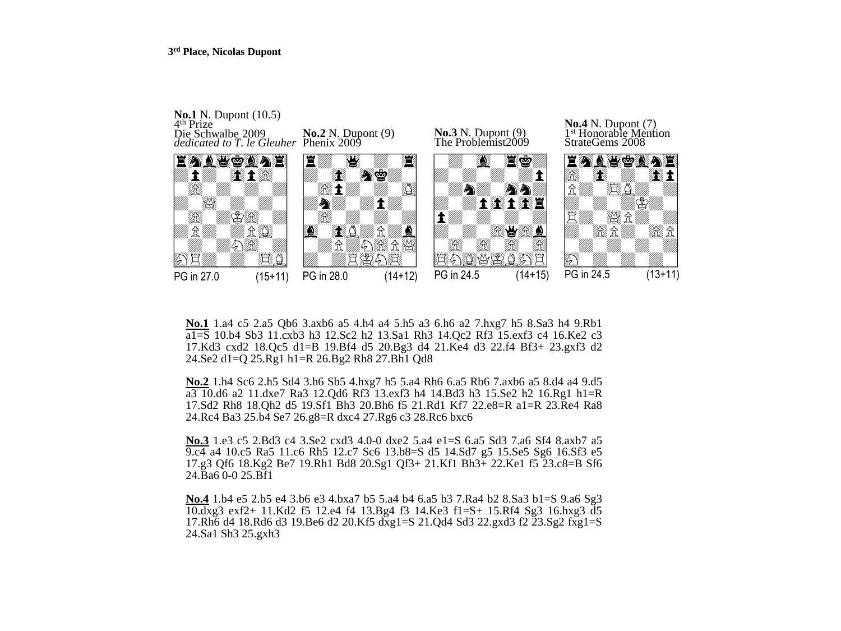

**No.1** 1.a4 c5 2.a5 Qb6 3.axb6 a5 4.h4 a4 5.h5 a3 6.h6 a2 7.hxg7 h5 8.Sa3 h4 9.Rb1 a1=S 10.b4 Sb3 11.cxb3 h3 12.Sc2 h2 13.Sa1 Rh3 14.Qc2 Rf3 15.exf3 c4 16.Ke2 c3 17.Kd3 cxd2 18.Qc5 d1=B 19.Bf4 d5 20.Bg3 d4 21.Ke4 d3 22.f4 Bf3+ 23.gxf3 d2 24.Se2 d1=Q 25.Rg1 h1=R 26.Bg2 Rh8 27.Bh1 Qd8

**No.2** 1.h4 Sc6 2.h5 Sd4 3.h6 Sb5 4.hxg7 h5 5.a4 Rh6 6.a5 Rb6 7.axb6 a5 8.d4 a4 9.d5 a3 10.d6 a2 11.dxe7 Ra3 12.Qd6 Rf3 13.exf3 h4 14.Bd3 h3 15.Se2 h2 16.Rg1 h1=R 17.Sd2 Rh8 18.Qh2 d5 19.Sf1 Bh3 20.Bh6 f5 21.Rd1 Kf7 22.e8=R a1=R 23.Re4 Ra8 24.Rc4 Ba3 25.b4 Se7 26.g8=R dxc4 27.Rg6 c3 28.Rc6 bxc6

**No.3** 1.e3 c5 2.Bd3 c4 3.Se2 cxd3 4.0-0 dxe2 5.a4 e1=S 6.a5 Sd3 7.a6 Sf4 8.axb7 a5 9.c4 a4 10.c5 Ra5 11.c6 Rh5 12.c7 Sc6 13.b8=S d5 14.Sd7 g5 15.Se5 Sg6 16.Sf3 e5 17.g3 Qf6 18.Kg2 Be7 19.Rh1 Bd8 20.Sg1 Qf3+ 21.Kf1 Bh3+ 22.Ke1 f5 23.c8=B Sf6 24.Ba6 0-0 25.Bf1

**No.4** 1.b4 e5 2.b5 e4 3.b6 e3 4.bxa7 b5 5.a4 b4 6.a5 b3 7.Ra4 b2 8.Sa3 b1=S 9.a6 Sg3 10.dxg3 exf2+ 11.Kd2 f5 12.e4 f4 13.Bg4 f3 14.Ke3 f1=S+ 15.Rf4 Sg3 16.hxg3 d5 17.Rh6 d4 18.Rd6 d3 19.Be6 d2 20.Kf5 dxg1=S 21.Qd4 Sd3 22.gxd3 f2 23.Sg2 fxg1=S 24.Sa1 Sh3 25.gxh3